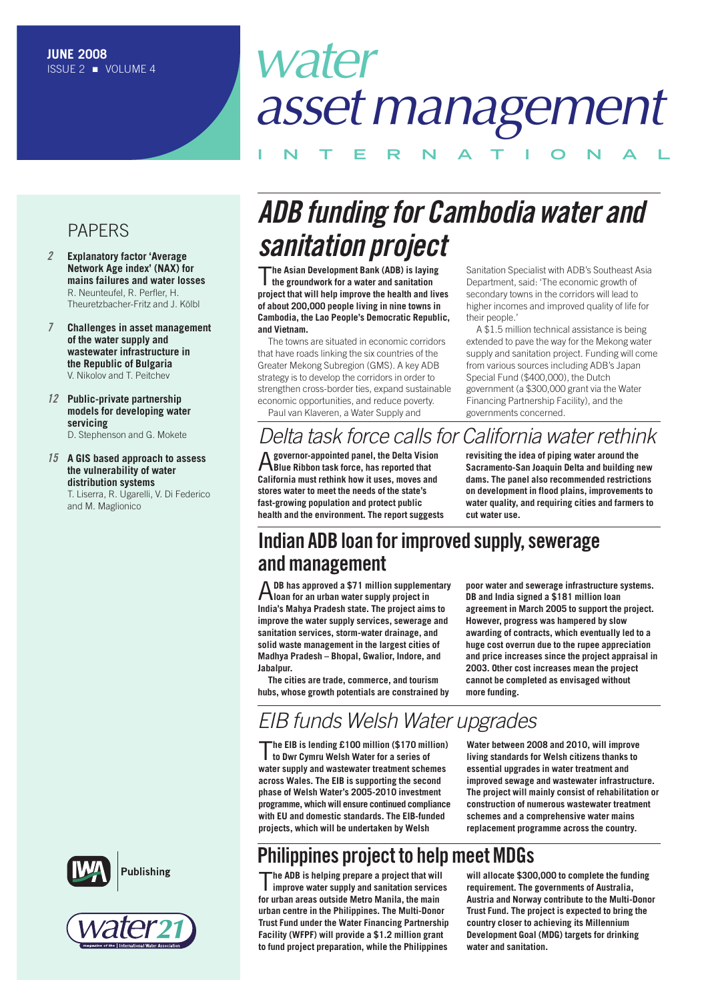# *water assetmanagement*

**I N T E R N A T I O N A L**

### PAPERS

- *2* **Explanatory factor 'Average Network Age index' (NAX) for mains failures and water losses** R. Neunteufel, R. Perfler, H. Theuretzbacher-Fritz and J. Kölbl
- *7* **Challenges in asset management of the water supply and wastewater infrastructure in the Republic of Bulgaria** V. Nikolov and T. Peitchev
- *12* **Public-private partnership models for developing water servicing** D. Stephenson and G. Mokete

#### *15* **A GIS based approach to assess the vulnerability of water distribution systems**

T. Liserra, R. Ugarelli, V. Di Federico and M. Maglionico





## *ADB funding for Cambodia water and sanitation project*

T**he Asian Development Bank (ADB) is laying the groundwork for a water and sanitation project that will help improve the health and lives of about 200,000 people living in nine towns in Cambodia, the Lao People's Democratic Republic, and Vietnam.**

The towns are situated in economic corridors that have roads linking the six countries of the Greater Mekong Subregion (GMS). A key ADB strategy is to develop the corridors in order to strengthen cross-border ties, expand sustainable economic opportunities, and reduce poverty.

Paul van Klaveren, a Water Supply and

### *Delta task force calls for California water rethink*

A**governor-appointed panel, the Delta Vision Blue Ribbon task force, has reported that California must rethink how it uses, moves and stores water to meet the needs of the state's fast-growing population and protect public health and the environment. The report suggests**

Sanitation Specialist with ADB's Southeast Asia Department, said: 'The economic growth of secondary towns in the corridors will lead to higher incomes and improved quality of life for their people.'

A \$1.5 million technical assistance is being extended to pave the way for the Mekong water supply and sanitation project. Funding will come from various sources including ADB's Japan Special Fund (\$400,000), the Dutch government (a \$300,000 grant via the Water Financing Partnership Facility), and the governments concerned.

**revisiting the idea of piping water around the Sacramento-San Joaquin Delta and building new dams. The panel also recommended restrictions on development in flood plains, improvements to water quality, and requiring cities and farmers to cut water use.**

### **Indian ADB loan forimproved supply,sewerage andmanagement**

A**DB has approved <sup>a</sup> \$71 million supplementary loan for an urban water supply project in India's Mahya Pradesh state. The project aims to improve the water supply services, sewerage and sanitation services, storm-water drainage, and solid waste management in the largest cities of Madhya Pradesh – Bhopal, Gwalior, Indore, and Jabalpur.**

**The cities are trade, commerce, and tourism hubs, whose growth potentials are constrained by**

**poor water and sewerage infrastructure systems. DB and India signed a \$181 million loan agreement in March 2005 to support the project. However, progress was hampered by slow awarding of contracts, which eventually led to a huge cost overrun due to the rupee appreciation and price increases since the project appraisal in 2003. Other cost increases mean the project cannot be completed as envisaged without more funding.**

### *EIB funds Welsh Water upgrades*

T**he EIB is lending £100 million (\$170 million) to Dwr Cymru Welsh Water for a series of water supply and wastewater treatment schemes across Wales. The EIB is supporting the second phase of Welsh Water's 2005-2010 investment programme, which will ensure continued compliance with EU and domestic standards. The EIB-funded projects, which will be undertaken by Welsh**

**Water between 2008 and 2010, will improve living standards for Welsh citizens thanks to essential upgrades in water treatment and improved sewage and wastewater infrastructure. The project will mainly consist of rehabilitation or construction of numerous wastewater treatment schemes and a comprehensive water mains replacement programme across the country.**

### **Philippines project to helpmeetMDGs**

T**he ADB is helping prepare <sup>a</sup> project that will improve water supply and sanitation services for urban areas outside Metro Manila, the main urban centre in the Philippines. The Multi-Donor Trust Fund under the Water Financing Partnership Facility (WFPF) will provide a \$1.2 million grant to fund project preparation, while the Philippines**

**will allocate \$300,000 to complete the funding requirement. The governments of Australia, Austria and Norway contribute to the Multi-Donor Trust Fund. The project is expected to bring the country closer to achieving its Millennium Development Goal (MDG) targets for drinking water and sanitation.**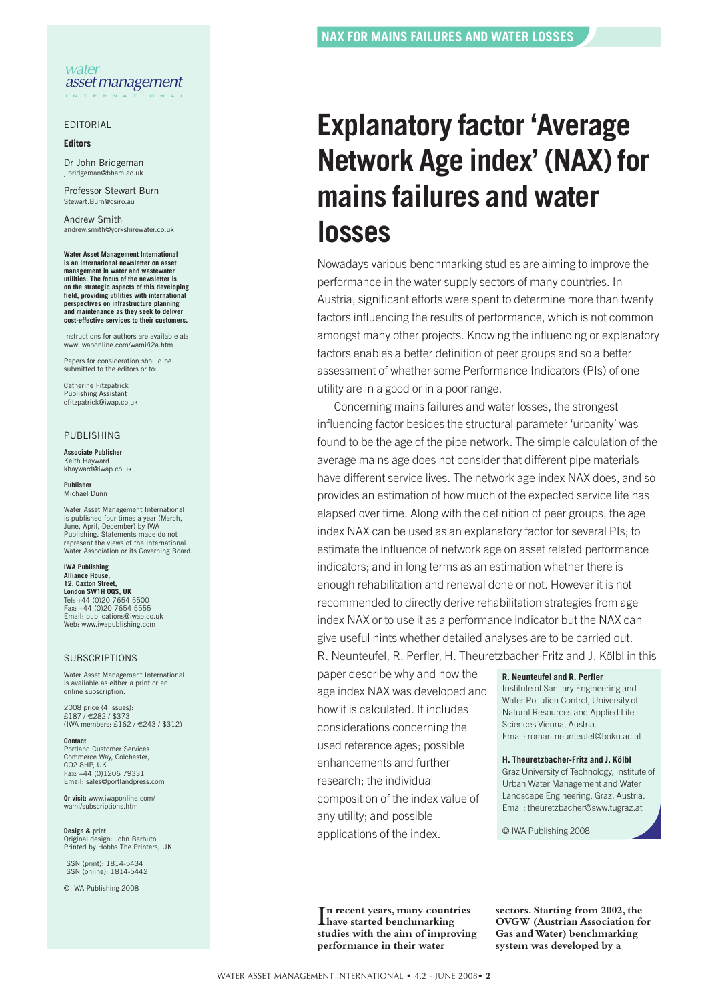#### EDITORIAL

#### **Editors**

Dr John Bridgeman j.bridgeman@bha

Professor Stewart Burn Stewart.Burn@csiro.au

Andrew Smith andrew.smith@yorkshirewater.co.uk

**Water Asset Management International is an international newsletter on asset management in water and wastewater utilities. The focus of the newsletter is on the strategic aspects of this developing field, providing utilities with international perspectives on infrastructure planning and maintenance as they seek to deliver cost-effective services to their customers.**

Instructions for authors are available at: www.iwaponline.com/wami/i2a.htm

Papers for consideration should be submitted to the editors or to:

Catherine Fitzpatrick Publishing Assistant cfitzpatrick@iwap.co.uk

#### PUBLISHING

#### **Associate Publisher** Keith Hayward khayward@iwap.co.uk

**Publisher** Michael Dunn

Water Asset Management International is published four times a year (March, published four times a year<br>ne, April, December) by IWA Publishing. Statements made do not represent the views of the International Water Association or its Governing Board.

#### **IWA Publishing Alliance House,**

**12, Caxton Street, London SW1H 0QS, UK** Tel: +44 (0)20 7654 5500 Fax: +44 (0)20 7654 5555 Email: publications@iwap.co.uk Web: www.iwapublishing.com

#### **SUBSCRIPTIONS**

Water Asset Management International is available as either a print or an online subscription.

2008 price (4 issues): £187 / €282 / \$373 (IWA members: £162 / €243 / \$312)

**Contact** Portland Customer Services Commerce Way, Colchester, CO<sub>2</sub> 8HP UK Fax: +44 (0)1206 79331 Email: sales@portlandpress.com

**Or visit:** www.iwaponline.com/ wami/subscriptions.htm

**Design & print** Original design: John Berbuto Printed by Hobbs The Printers, UK

ISSN (print): 1814-5434 ISSN (online): 1814-5442

© IWA Publishing 2008

## **Explanatory factor 'Average Network Age index' (NAX) for mains failures and water losses**

Nowadays various benchmarking studies are aiming to improve the performance in the water supply sectors of many countries. In Austria, significant efforts were spent to determine more than twenty factors influencing the results of performance, which is not common amongst many other projects. Knowing the influencing or explanatory factors enables a better definition of peer groups and so a better assessment of whether some Performance Indicators (PIs) of one utility are in a good or in a poor range.

Concerning mains failures and water losses, the strongest influencing factor besides the structural parameter 'urbanity' was found to be the age of the pipe network. The simple calculation of the average mains age does not consider that different pipe materials have different service lives. The network age index NAX does, and so provides an estimation of how much of the expected service life has elapsed over time. Along with the definition of peer groups, the age index NAX can be used as an explanatory factor for several PIs; to estimate the influence of network age on asset related performance indicators; and in long terms as an estimation whether there is enough rehabilitation and renewal done or not. However it is not recommended to directly derive rehabilitation strategies from age index NAX or to use it as a performance indicator but the NAX can give useful hints whether detailed analyses are to be carried out. R. Neunteufel, R. Perfler, H. Theuretzbacher-Fritz and J. Kölbl in this

paper describe why and how the age index NAX was developed and how it is calculated. It includes considerations concerning the used reference ages; possible enhancements and further research; the individual composition of the index value of any utility; and possible applications of the index.

#### **R. Neunteufel and R. Perfler**

Institute of Sanitary Engineering and Water Pollution Control, University of Natural Resources and Applied Life Sciences Vienna, Austria. Email: roman.neunteufel@boku.ac.at

#### **H. Theuretzbacher-Fritz and J. Kölbl**

Graz University of Technology, Institute of Urban Water Management and Water Landscape Engineering, Graz, Austria. Email: theuretzbacher@sww.tugraz.at

© IWA Publishing 2008

I **have started benchmarking n recent years, many countries studies with the aim of improving performance in their water**

**sectors. Starting from 2002,the OVGW (Austrian Association for Gas andWater) benchmarking system was developed by a**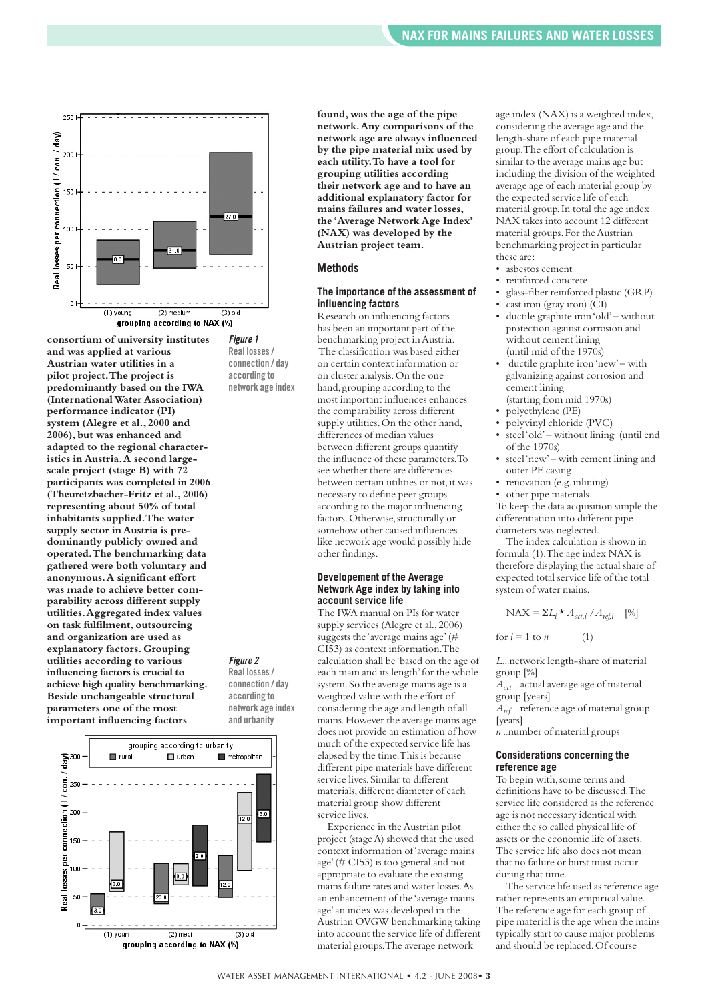

**consortium of university institutes and was applied at various Austrian water utilities in a pilot project.The project is predominantly based on the IWA (InternationalWater Association) performance indicator (PI) system (Alegre et al., 2000 and 2006), but was enhanced and adapted to the regional characteristics in Austria.A second largescale project (stage B) with 72 participants was completed in 2006 (Theuretzbacher-Fritz et al., 2006) representing about 50% of total inhabitants supplied.The water supply sector in Austria is predominantly publicly owned and operated.The benchmarking data gathered were both voluntary and anonymous.A significant effort was made to achieve better comparability across different supply utilities.Aggregated index values on task fulfilment, outsourcing and organization are used as explanatory factors. Grouping utilities according to various influencing factors is crucial to achieve high quality benchmarking. Beside unchangeable structural parameters one of the most important influencing factors**



*Figure 1* **Real losses/ connection / day according to network age index**

**according to network age index and urbanity**



**found, was the age of the pipe network.Any comparisons of the network age are always influenced by the pipe material mix used by each utility.To have a tool for grouping utilities according their network age and to have an additional explanatory factor for mains failures and water losses, the 'Average Network Age Index' (NAX) was developed by the Austrian project team.**

#### **Methods**

#### **The importance of the assessment of influencing factors**

Research on influencing factors has been an important part of the benchmarking project inAustria. The classification was based either on certain context information or on cluster analysis.On the one hand, grouping according to the most important influences enhances the comparability across different supply utilities. On the other hand, differences of median values between different groups quantify the influence of these parameters.To see whether there are differences between certain utilities or not, it was necessary to define peer groups according to the major influencing factors.Otherwise,structurally or somehow other caused influences like network age would possibly hide other findings.

#### **Developement of the Average Network Age index by taking into account service life**

The IWA manual on PIs for water supply services (Alegre et al.,2006) suggests the 'average mains age'(# CI53) as context information.The calculation shall be 'based on the age of each main and its length' for the whole system.So the average mains age is a weighted value with the effort of considering the age and length of all mains.However the average mains age does not provide an estimation of how much of the expected service life has elapsed by the time.This is because different pipe materials have different service lives.Similar to different materials, different diameter of each material group show different service lives.

Experience in theAustrian pilot project (stageA) showed that the used context information of'average mains age'(# CI53) is too general and not appropriate to evaluate the existing mains failure rates and water losses.As an enhancement of the 'average mains age'an index was developed in the Austrian OVGW benchmarking taking into account the service life of different material groups.The average network

age index (NAX) is a weighted index, considering the average age and the length-share of each pipe material group.The effort of calculation is similar to the average mains age but including the division of the weighted average age of each material group by the expected service life of each material group.In total the age index NAX takes into account 12 different material groups. For the Austrian benchmarking project in particular these are:

- asbestos cement
- reinforced concrete
- glass-fiber reinforced plastic (GRP)
	- cast iron (gray iron) (CI)
	- ductile graphite iron'old'– without protection against corrosion and without cement lining (until mid of the 1970s)
	- ductile graphite iron'new'– with galvanizing against corrosion and cement lining (starting from mid 1970s)
	- polyethylene (PE)
	- polyvinyl chloride (PVC)
	- steel'old'– without lining (until end of the 1970s)
	- steel'new'– with cement lining and outer PE casing
	- renovation (e.g. inlining)
	- other pipe materials

To keep the data acquisition simple the differentiation into different pipe diameters was neglected.

The index calculation is shown in formula (1).The age index NAX is therefore displaying the actual share of expected total service life of the total system of water mains.

$$
NAX = \Sigma L_i \star A_{act,i} / A_{ref,i} \quad [%
$$

for  $i = 1$  to *n* (1)

*L...*network length-share of material group [%]

*Aact ...*actual average age of material group [years]

*Aref ...*reference age of material group [years]

*n...*number of material groups

#### **Considerations concerning the reference age**

To begin with, some terms and definitions have to be discussed.The service life considered as the reference age is not necessary identical with either the so called physical life of assets or the economic life of assets. The service life also does not mean that no failure or burst must occur during that time.

The service life used as reference age rather represents an empirical value. The reference age for each group of pipe material is the age when the mains typically start to cause major problems and should be replaced.Of course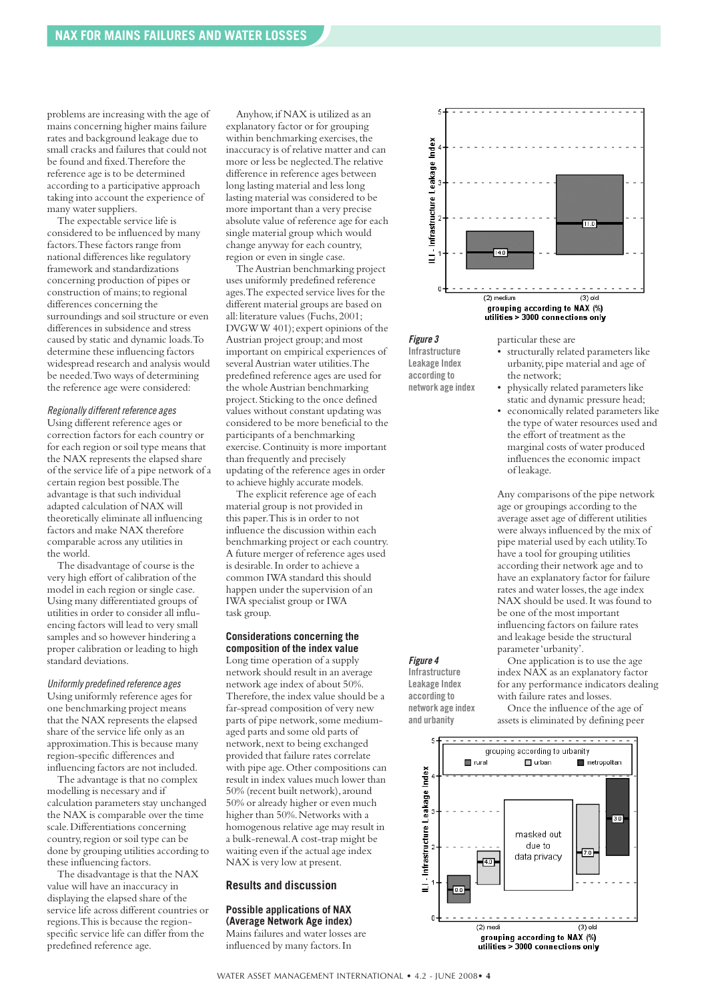problems are increasing with the age of mains concerning higher mains failure rates and background leakage due to small cracks and failures that could not be found and fixed.Therefore the reference age is to be determined according to a participative approach taking into account the experience of many water suppliers.

The expectable service life is considered to be influenced by many factors.These factors range from national differences like regulatory framework and standardizations concerning production of pipes or construction of mains;to regional differences concerning the surroundings and soil structure or even differences in subsidence and stress caused by static and dynamic loads.To determine these influencing factors widespread research and analysis would be needed.Two ways of determining the reference age were considered:

#### *Regionally different reference ages*

Using different reference ages or correction factors for each country or for each region or soil type means that the NAX represents the elapsed share of the service life of a pipe network of a certain region best possible.The advantage is that such individual adapted calculation of NAX will theoretically eliminate all influencing factors and make NAX therefore comparable across any utilities in the world.

The disadvantage of course is the very high effort of calibration of the model in each region or single case. Using many differentiated groups of utilities in order to consider all influencing factors will lead to very small samples and so however hindering a proper calibration or leading to high standard deviations.

#### *Uniformly predefined reference ages*

Using uniformly reference ages for one benchmarking project means that the NAX represents the elapsed share of the service life only as an approximation.This is because many region-specific differences and influencing factors are not included.

The advantage is that no complex modelling is necessary and if calculation parameters stay unchanged the NAX is comparable over the time scale.Differentiations concerning country, region or soil type can be done by grouping utilities according to these influencing factors.

The disadvantage is that the NAX value will have an inaccuracy in displaying the elapsed share of the service life across different countries or regions.This is because the regionspecific service life can differ from the predefined reference age.

Anyhow,if NAX is utilized as an explanatory factor or for grouping within benchmarking exercises, the inaccuracy is of relative matter and can more or less be neglected.The relative difference in reference ages between long lasting material and less long lasting material was considered to be more important than a very precise absolute value of reference age for each single material group which would change anyway for each country, region or even in single case.

The Austrian benchmarking project uses uniformly predefined reference ages.The expected service lives for the different material groups are based on all: literature values (Fuchs, 2001; DVGWW 401); expert opinions of the Austrian project group; and most important on empirical experiences of several Austrian water utilities. The predefined reference ages are used for the whole Austrian benchmarking project.Sticking to the once defined values without constant updating was considered to be more beneficial to the participants of a benchmarking exercise.Continuity is more important than frequently and precisely updating of the reference ages in order to achieve highly accurate models.

The explicit reference age of each material group is not provided in this paper.This is in order to not influence the discussion within each benchmarking project or each country. A future merger of reference ages used is desirable.In order to achieve a common IWA standard this should happen under the supervision of an IWA specialist group or IWA task group.

#### **Considerations concerning the composition of the index value**

Long time operation of a supply network should result in an average network age index of about 50%. Therefore, the index value should be a far-spread composition of very new parts of pipe network, some mediumaged parts and some old parts of network,next to being exchanged provided that failure rates correlate with pipe age.Other compositions can result in index values much lower than 50% (recent built network), around 50% or already higher or even much higher than 50%. Networks with a homogenous relative age may result in a bulk-renewal.A cost-trap might be waiting even if the actual age index NAX is very low at present.

#### **Results and discussion**

**Possible applications of NAX (Average Network Age index)** Mains failures and water losses are

influenced by many factors.In



*Figure 3*

**Infrastructure Leakage Index according to network age index** particular these are

- structurally related parameters like urbanity, pipe material and age of the network;
- physically related parameters like static and dynamic pressure head;
- economically related parameters like the type of water resources used and the effort of treatment as the marginal costs of water produced influences the economic impact of leakage.

Any comparisons of the pipe network age or groupings according to the average asset age of different utilities were always influenced by the mix of pipe material used by each utility.To have a tool for grouping utilities according their network age and to have an explanatory factor for failure rates and water losses, the age index NAX should be used.It was found to be one of the most important influencing factors on failure rates and leakage beside the structural parameter'urbanity'.

*Figure 4* **Infrastructure Leakage Index according to network age index and urbanity**

One application is to use the age index NAX as an explanatory factor for any performance indicators dealing with failure rates and losses.

Once the influence of the age of assets is eliminated by defining peer

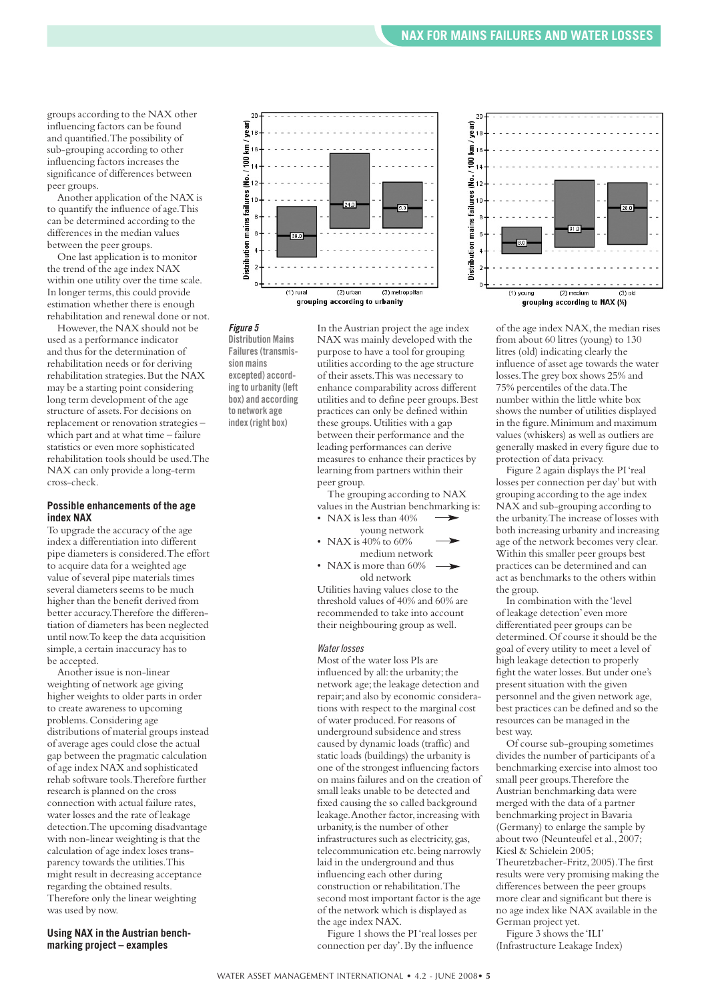groups according to the NAX other influencing factors can be found and quantified.The possibility of sub-grouping according to other influencing factors increases the significance of differences between peer groups.

Another application of the NAX is to quantify the influence of age.This can be determined according to the differences in the median values between the peer groups.

One last application is to monitor the trend of the age index NAX within one utility over the time scale. In longer terms, this could provide estimation whether there is enough rehabilitation and renewal done or not. However, the NAX should not be

used as a performance indicator and thus for the determination of rehabilitation needs or for deriving rehabilitation strategies.But the NAX may be a starting point considering long term development of the age structure of assets.For decisions on replacement or renovation strategies – which part and at what time – failure statistics or even more sophisticated rehabilitation tools should be used.The NAX can only provide a long-term cross-check.

#### **Possible enhancements of the age index NAX**

To upgrade the accuracy of the age index a differentiation into different pipe diameters is considered.The effort to acquire data for a weighted age value of several pipe materials times several diameters seems to be much higher than the benefit derived from better accuracy.Therefore the differentiation of diameters has been neglected until now.To keep the data acquisition simple, a certain inaccuracy has to be accepted.

Another issue is non-linear weighting of network age giving higher weights to older parts in order to create awareness to upcoming problems.Considering age distributions of material groups instead of average ages could close the actual gap between the pragmatic calculation of age index NAX and sophisticated rehab software tools.Therefore further research is planned on the cross connection with actual failure rates, water losses and the rate of leakage detection.The upcoming disadvantage with non-linear weighting is that the calculation of age index loses transparency towards the utilities.This might result in decreasing acceptance regarding the obtained results. Therefore only the linear weighting was used by now.

**Using NAX in the Austrian benchmarking project – examples**





**Distribution Mains Failures(transmission mains excepted) according to urbanity(left box) and according to network age index(right box)**

In theAustrian project the age index NAX was mainly developed with the purpose to have a tool for grouping utilities according to the age structure of their assets.This was necessary to enhance comparability across different utilities and to define peer groups.Best practices can only be defined within these groups.Utilities with a gap between their performance and the leading performances can derive measures to enhance their practices by learning from partners within their peer group.

The grouping according to NAX values in the Austrian benchmarking is:



• NAX is more than 60% old network

Utilities having values close to the threshold values of 40% and 60% are recommended to take into account their neighbouring group as well.

#### *Water losses*

Most of the water loss PIs are influenced by all: the urbanity; the network age; the leakage detection and repair;and also by economic considerations with respect to the marginal cost of water produced.For reasons of underground subsidence and stress caused by dynamic loads (traffic) and static loads (buildings) the urbanity is one of the strongest influencing factors on mains failures and on the creation of small leaks unable to be detected and fixed causing the so called background leakage. Another factor, increasing with urbanity,is the number of other infrastructures such as electricity, gas, telecommunication etc.being narrowly laid in the underground and thus influencing each other during construction or rehabilitation.The second most important factor is the age of the network which is displayed as the age index NAX.

Figure 1 shows the PI'real losses per connection per day'.By the influence



of the age index NAX, the median rises from about 60 litres (young) to 130 litres (old) indicating clearly the influence of asset age towards the water losses.The grey box shows 25% and 75% percentiles of the data.The number within the little white box shows the number of utilities displayed in the figure.Minimum and maximum values (whiskers) as well as outliers are generally masked in every figure due to protection of data privacy.

Figure 2 again displays the PI'real losses per connection per day'but with grouping according to the age index NAX and sub-grouping according to the urbanity.The increase of losses with both increasing urbanity and increasing age of the network becomes very clear. Within this smaller peer groups best practices can be determined and can act as benchmarks to the others within the group.

In combination with the 'level of leakage detection' even more differentiated peer groups can be determined.Of course it should be the goal of every utility to meet a level of high leakage detection to properly fight the water losses.But under one's present situation with the given personnel and the given network age, best practices can be defined and so the resources can be managed in the best way.

Of course sub-grouping sometimes divides the number of participants of a benchmarking exercise into almost too small peer groups.Therefore the Austrian benchmarking data were merged with the data of a partner benchmarking project in Bavaria (Germany) to enlarge the sample by about two (Neunteufel et al.,2007; Kiesl & Schielein 2005; Theuretzbacher-Fritz,2005).The first results were very promising making the differences between the peer groups more clear and significant but there is no age index like NAX available in the German project yet.

Figure 3 shows the 'ILI' (Infrastructure Leakage Index)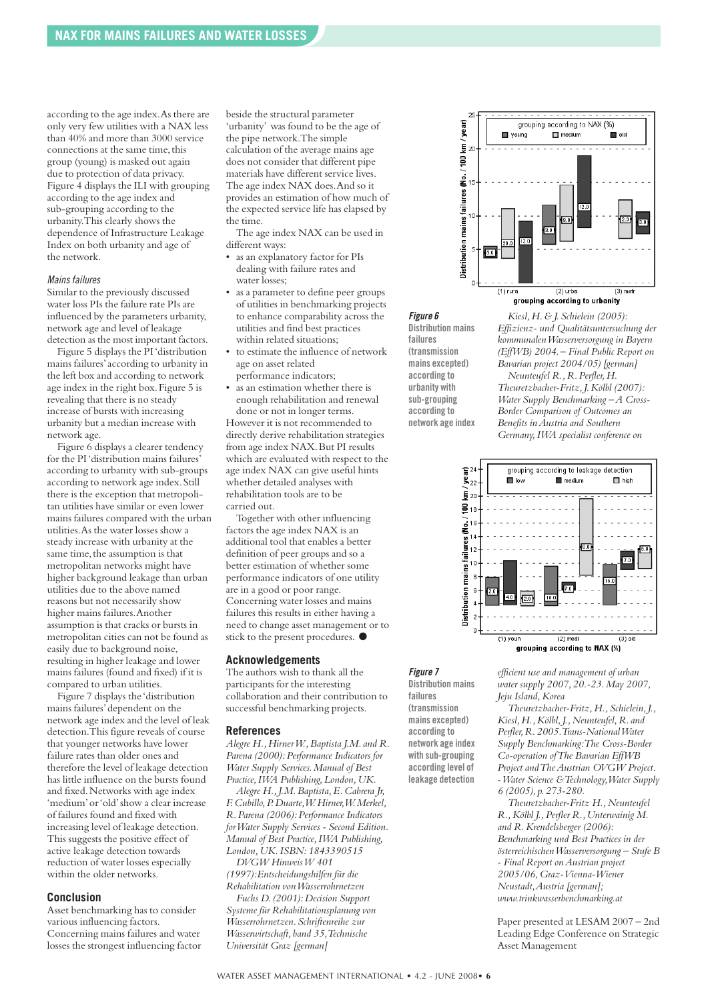according to the age index.As there are only very few utilities with a NAX less than 40% and more than 3000 service connections at the same time, this group (young) is masked out again due to protection of data privacy. Figure 4 displays the ILI with grouping according to the age index and sub-grouping according to the urbanity.This clearly shows the dependence of Infrastructure Leakage Index on both urbanity and age of the network.

#### *Mainsfailures*

Similar to the previously discussed water loss PIs the failure rate PIs are influenced by the parameters urbanity, network age and level of leakage detection as the most important factors.

Figure 5 displays the PI'distribution mains failures'according to urbanity in the left box and according to network age index in the right box.Figure 5 is revealing that there is no steady increase of bursts with increasing urbanity but a median increase with network age.

Figure 6 displays a clearer tendency for the PI'distribution mains failures' according to urbanity with sub-groups according to network age index.Still there is the exception that metropolitan utilities have similar or even lower mains failures compared with the urban utilities.As the water losses show a steady increase with urbanity at the same time, the assumption is that metropolitan networks might have higher background leakage than urban utilities due to the above named reasons but not necessarily show higher mains failures.Another assumption is that cracks or bursts in metropolitan cities can not be found as easily due to background noise, resulting in higher leakage and lower mains failures (found and fixed) if it is compared to urban utilities.

Figure 7 displays the 'distribution mains failures'dependent on the network age index and the level of leak detection.This figure reveals of course that younger networks have lower failure rates than older ones and therefore the level of leakage detection has little influence on the bursts found and fixed.Networks with age index 'medium'or'old'show a clear increase of failures found and fixed with increasing level of leakage detection. This suggests the positive effect of active leakage detection towards reduction of water losses especially within the older networks.

#### **Conclusion**

Asset benchmarking has to consider various influencing factors. Concerning mains failures and water losses the strongest influencing factor beside the structural parameter 'urbanity' was found to be the age of the pipe network.The simple calculation of the average mains age does not consider that different pipe materials have different service lives. The age index NAX does.And so it provides an estimation of how much of the expected service life has elapsed by the time.

The age index NAX can be used in different ways:

- as an explanatory factor for PIs dealing with failure rates and water losses;
- as a parameter to define peer groups of utilities in benchmarking projects to enhance comparability across the utilities and find best practices within related situations;
- to estimate the influence of network age on asset related
- performance indicators;
- as an estimation whether there is enough rehabilitation and renewal done or not in longer terms. However it is not recommended to directly derive rehabilitation strategies from age index NAX.But PI results which are evaluated with respect to the age index NAX can give useful hints whether detailed analyses with rehabilitation tools are to be carried out.

Together with other influencing factors the age index NAX is an additional tool that enables a better definition of peer groups and so a better estimation of whether some performance indicators of one utility are in a good or poor range. Concerning water losses and mains failures this results in either having a need to change asset management or to stick to the present procedures. **●**

#### **Acknowledgements**

The authors wish to thank all the participants for the interesting collaboration and their contribution to successful benchmarking projects.

#### **References**

*Alegre H.,HirnerW.,Baptista J.M. and R. Parena (2000):Performance Indicators for Water Supply Services.Manual of Best Practice,IWA Publishing,London,UK.*

*Alegre H.,J.M.Baptista,E.Cabrera Jr, F.Cubillo,P.Duarte,W.Hirner,W.Merkel, R.Parena (2006):Performance Indicators forWater Supply Services - Second Edition. Manual of Best Practice,IWA Publishing, London,UK.ISBN:1843390515 DVGW HinweisW 401*

*(1997):Entscheidungshilfen für die Rehabilitation vonWasserrohrnetzen Fuchs D.(2001):Decision Support Systeme für Rehabilitationsplanung von Wasserrohrnetzen.Schriftenreihe zur Wasserwirtschaft, band 35,Technische Universität Graz [german]*



grouping according to urbanity

*Figure 6* **Distribution mains failures (transmission mains excepted) according to urbanity with sub-grouping according to network age index**

*Kiesl,H.& J.Schielein (2005): Effizienz- und Qualitätsuntersuchung der kommunalenWasserversorgung in Bayern (EffWB) 2004.– Final Public Report on Bavarian project 2004/05) [german]*

*Neunteufel R.,R.Perfler,H. Theuretzbacher-Fritz,J.Kölbl (2007): Water Supply Benchmarking –A Cross-Border Comparison of Outcomes an Benefits inAustria and Southern Germany,IWA specialist conference on*



*Figure 7* **Distribution mains failures (transmission mains excepted) according to network age index with sub-grouping according level of leakage detection**

*efficient use and management of urban water supply 2007,20.-23.May 2007, Jeju Island,Korea*

*Theuretzbacher-Fritz,H.,Schielein,J., Kiesl,H.,Kölbl,J.,Neunteufel,R. and Perfler,R.2005.Trans-NationalWater Supply Benchmarking:The Cross-Border Co-operation ofThe Bavarian EffWB Project andTheAustrian OVGW Project. -Water Science &Technology,Water Supply 6 (2005), p.273-280.*

*Theuretzbacher-Fritz H.,Neunteufel R.,Kölbl J.,Perfler R.,Unterwainig M. and R.Krendelsberger (2006): Benchmarking und Best Practices in der österreichischenWasserversorgung – Stufe B - Final Report onAustrian project 2005/06,Graz-Vienna-Wiener Neustadt,Austria [german]; www.trinkwasserbenchmarking.at*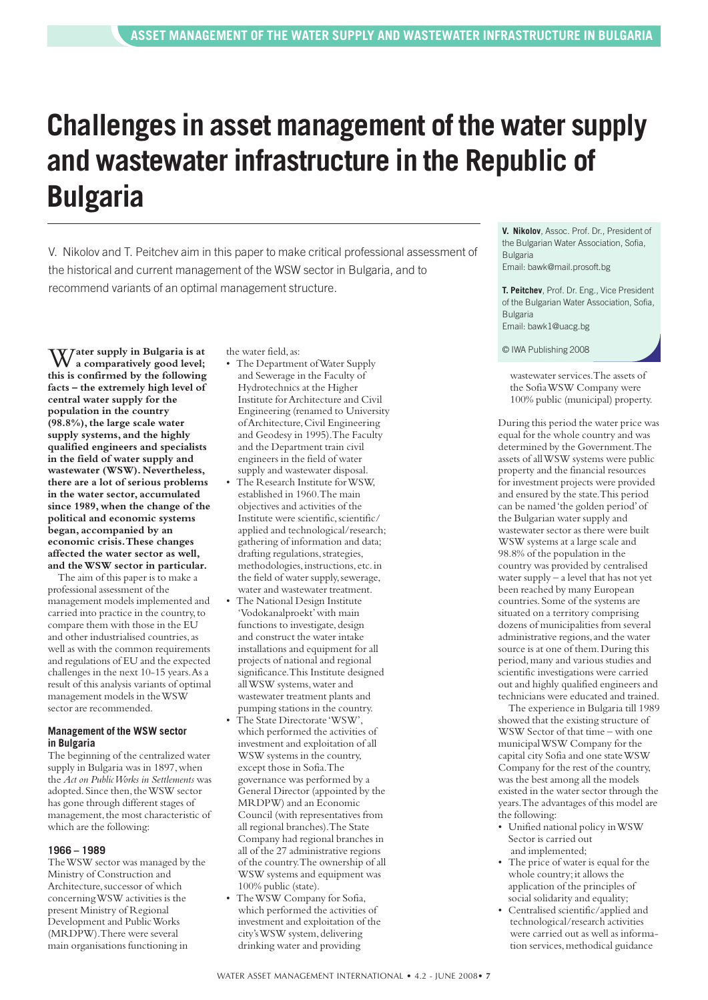## **Challenges in asset management of the water supply and wastewater infrastructure in the Republic of Bulgaria**

V. Nikolov and T. Peitchev aim in this paper to make critical professional assessment of the historical and current management of the WSW sector in Bulgaria, and to recommend variants of an optimal management structure.

W**ater supply in Bulgaria is at a comparatively good level; this is confirmed by the following facts – the extremely high level of central water supply for the population in the country (98.8%),the large scale water supply systems, and the highly qualified engineers and specialists in the field of water supply and wastewater (WSW). Nevertheless, there are a lot of serious problems in the water sector, accumulated since 1989, when the change of the political and economic systems began, accompanied by an economic crisis.These changes affected the water sector as well, and theWSW sector in particular.**

The aim of this paper is to make a professional assessment of the management models implemented and carried into practice in the country,to compare them with those in the EU and other industrialised countries,as well as with the common requirements and regulations of EU and the expected challenges in the next 10-15 years.As a result of this analysis variants of optimal management models in theWSW sector are recommended.

#### **Management of the WSW sector in Bulgaria**

The beginning of the centralized water supply in Bulgaria was in 1897, when the *Act on PublicWorks in Settlements* was adopted. Since then, the WSW sector has gone through different stages of management, the most characteristic of which are the following:

#### **1966 – 1989**

TheWSW sector was managed by the Ministry of Construction and Architecture, successor of which concerningWSW activities is the present Ministry of Regional Development and PublicWorks (MRDPW).There were several main organisations functioning in

the water field,as:

- The Department ofWater Supply and Sewerage in the Faculty of Hydrotechnics at the Higher Institute forArchitecture and Civil Engineering (renamed to University ofArchitecture,Civil Engineering and Geodesy in 1995).The Faculty and the Department train civil engineers in the field of water supply and wastewater disposal.
- The Research Institute for WSW, established in 1960.The main objectives and activities of the Institute were scientific, scientific/ applied and technological/research; gathering of information and data; drafting regulations,strategies, methodologies, instructions, etc. in the field of water supply, sewerage, water and wastewater treatment.
- The National Design Institute 'Vodokanalproekt'with main functions to investigate, design and construct the water intake installations and equipment for all projects of national and regional significance.This Institute designed allWSW systems,water and wastewater treatment plants and pumping stations in the country.
- The State Directorate 'WSW', which performed the activities of investment and exploitation of all WSW systems in the country, except those in Sofia.The governance was performed by a General Director (appointed by the MRDPW) and an Economic Council (with representatives from all regional branches).The State Company had regional branches in all of the 27 administrative regions of the country.The ownership of all WSW systems and equipment was 100% public (state).
- TheWSW Company for Sofia, which performed the activities of investment and exploitation of the city's WSW system, delivering drinking water and providing

**V. Nikolov**, Assoc. Prof. Dr., President of the Bulgarian Water Association, Sofia, Bulgaria Email: bawk@mail.prosoft.bg

**T. Peitchev**, Prof. Dr. Eng., Vice President of the Bulgarian Water Association, Sofia, Bulgaria Email: bawk1@uacg.bg

© IWA Publishing 2008

wastewater services.The assets of the SofiaWSW Company were 100% public (municipal) property.

During this period the water price was equal for the whole country and was determined by the Government.The assets of allWSW systems were public property and the financial resources for investment projects were provided and ensured by the state.This period can be named'the golden period'of the Bulgarian water supply and wastewater sector as there were built WSW systems at a large scale and 98.8% of the population in the country was provided by centralised water supply – a level that has not yet been reached by many European countries.Some of the systems are situated on a territory comprising dozens of municipalities from several administrative regions,and the water source is at one of them.During this period,many and various studies and scientific investigations were carried out and highly qualified engineers and technicians were educated and trained.

The experience in Bulgaria till 1989 showed that the existing structure of WSW Sector of that time – with one municipalWSW Company for the capital city Sofia and one stateWSW Company for the rest of the country, was the best among all the models existed in the water sector through the years.The advantages of this model are the following:

- Unified national policy inWSW Sector is carried out and implemented;
- The price of water is equal for the whole country; it allows the application of the principles of social solidarity and equality;
- Centralised scientific/applied and technological/research activities were carried out as well as information services, methodical guidance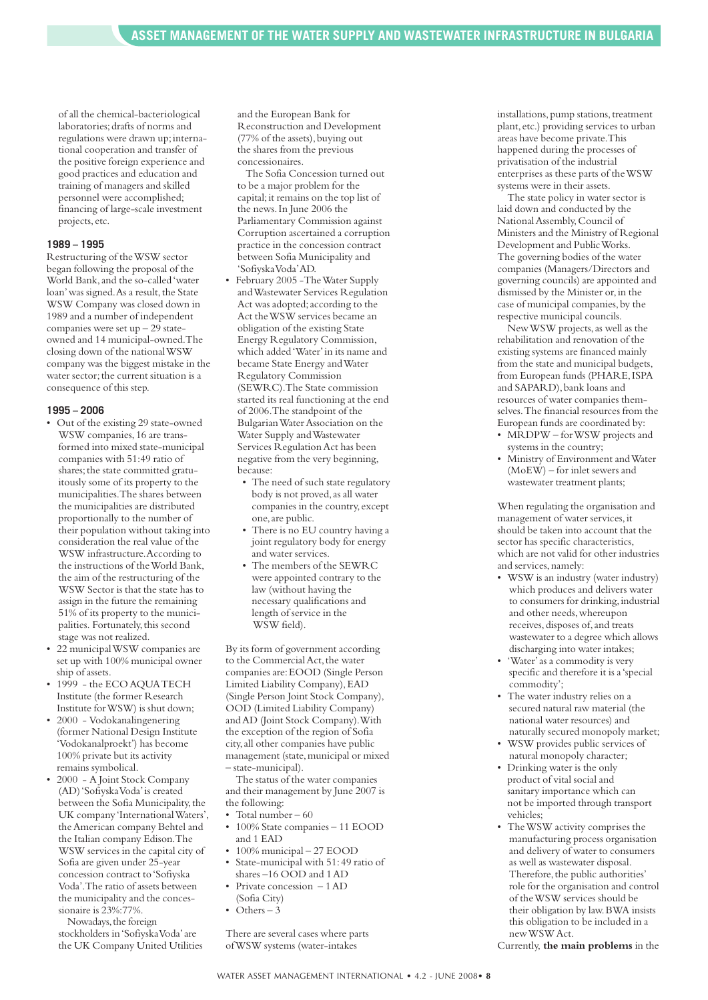of all the chemical-bacteriological laboratories;drafts of norms and regulations were drawn up; international cooperation and transfer of the positive foreign experience and good practices and education and training of managers and skilled personnel were accomplished; financing of large-scale investment projects, etc.

#### **1989 – 1995**

Restructuring of theWSW sector began following the proposal of the World Bank,and the so-called'water loan' was signed. As a result, the State WSW Company was closed down in 1989 and a number of independent companies were set up  $-29$  stateowned and 14 municipal-owned.The closing down of the nationalWSW company was the biggest mistake in the water sector; the current situation is a consequence of this step.

#### **1995 – 2006**

- Out of the existing 29 state-owned WSW companies,16 are transformed into mixed state-municipal companies with 51:49 ratio of shares; the state committed gratuitously some of its property to the municipalities.The shares between the municipalities are distributed proportionally to the number of their population without taking into consideration the real value of the WSW infrastructure.According to the instructions of theWorld Bank, the aim of the restructuring of the WSW Sector is that the state has to assign in the future the remaining 51% of its property to the municipalities. Fortunately,this second stage was not realized.
- 22 municipalWSW companies are set up with 100% municipal owner ship of assets.
- 1999 the ECO AOUA TECH Institute (the former Research Institute forWSW) is shut down;
- 2000 Vodokanalingenering (former National Design Institute 'Vodokanalproekt') has become 100% private but its activity remains symbolical.
- 2000 A Joint Stock Company (AD)'SofiyskaVoda'is created between the Sofia Municipality, the UK company 'InternationalWaters', theAmerican company Behtel and the Italian company Edison.The WSW services in the capital city of Sofia are given under 25-year concession contract to'Sofiyska Voda'.The ratio of assets between the municipality and the concessionaire is 23%:77%.

Nowadays, the foreign stockholders in'SofiyskaVoda'are the UK Company United Utilities and the European Bank for Reconstruction and Development (77% of the assets), buying out the shares from the previous concessionaires.

The Sofia Concession turned out to be a major problem for the capital;it remains on the top list of the news.In June 2006 the Parliamentary Commission against Corruption ascertained a corruption practice in the concession contract between Sofia Municipality and 'SofiyskaVoda'AD.

- February 2005 -TheWater Supply andWastewater Services Regulation Act was adopted;according to the Act theWSW services became an obligation of the existing State Energy Regulatory Commission, which added'Water'in its name and became State Energy andWater Regulatory Commission (SEWRC).The State commission started its real functioning at the end of 2006.The standpoint of the BulgarianWaterAssociation on the Water Supply andWastewater Services RegulationAct has been negative from the very beginning, because:
	- The need of such state regulatory body is not proved, as all water companies in the country, except one,are public.
	- There is no EU country having a joint regulatory body for energy and water services.
	- The members of the SEWRC were appointed contrary to the law (without having the necessary qualifications and length of service in the WSW field).

By its form of government according to the Commercial Act, the water companies are:EOOD (Single Person Limited Liability Company), EAD (Single Person Joint Stock Company), OOD (Limited Liability Company) andAD (Joint Stock Company).With the exception of the region of Sofia city,all other companies have public management (state, municipal or mixed – state-municipal).

The status of the water companies and their management by June 2007 is the following:

- Total number 60
- 100% State companies 11 EOOD and 1 EAD
- 100% municipal 27 EOOD • State-municipal with 51:49 ratio of
- shares –16 OOD and 1AD Private concession – 1 AD
- (Sofia City)
- Others 3

There are several cases where parts ofWSW systems (water-intakes

installations, pump stations, treatment plant, etc.) providing services to urban areas have become private.This happened during the processes of privatisation of the industrial enterprises as these parts of theWSW systems were in their assets.

The state policy in water sector is laid down and conducted by the NationalAssembly,Council of Ministers and the Ministry of Regional Development and PublicWorks. The governing bodies of the water companies (Managers/Directors and governing councils) are appointed and dismissed by the Minister or,in the case of municipal companies, by the respective municipal councils.

NewWSW projects,as well as the rehabilitation and renovation of the existing systems are financed mainly from the state and municipal budgets, from European funds (PHARE, ISPA and SAPARD), bank loans and resources of water companies themselves.The financial resources from the European funds are coordinated by:

- MRDPW forWSW projects and systems in the country;
- Ministry of Environment andWater (MoEW) – for inlet sewers and wastewater treatment plants;

When regulating the organisation and management of water services,it should be taken into account that the sector has specific characteristics, which are not valid for other industries and services, namely:

- WSW is an industry (water industry) which produces and delivers water to consumers for drinking, industrial and other needs,whereupon receives, disposes of, and treats wastewater to a degree which allows discharging into water intakes;
- 'Water'as a commodity is very specific and therefore it is a'special commodity';
- The water industry relies on a secured natural raw material (the national water resources) and naturally secured monopoly market;
- WSW provides public services of natural monopoly character;
- Drinking water is the only product of vital social and sanitary importance which can not be imported through transport vehicles;
- TheWSW activity comprises the manufacturing process organisation and delivery of water to consumers as well as wastewater disposal. Therefore, the public authorities' role for the organisation and control of theWSW services should be their obligation by law.BWA insists this obligation to be included in a newWSWAct.

Currently, **the main problems** in the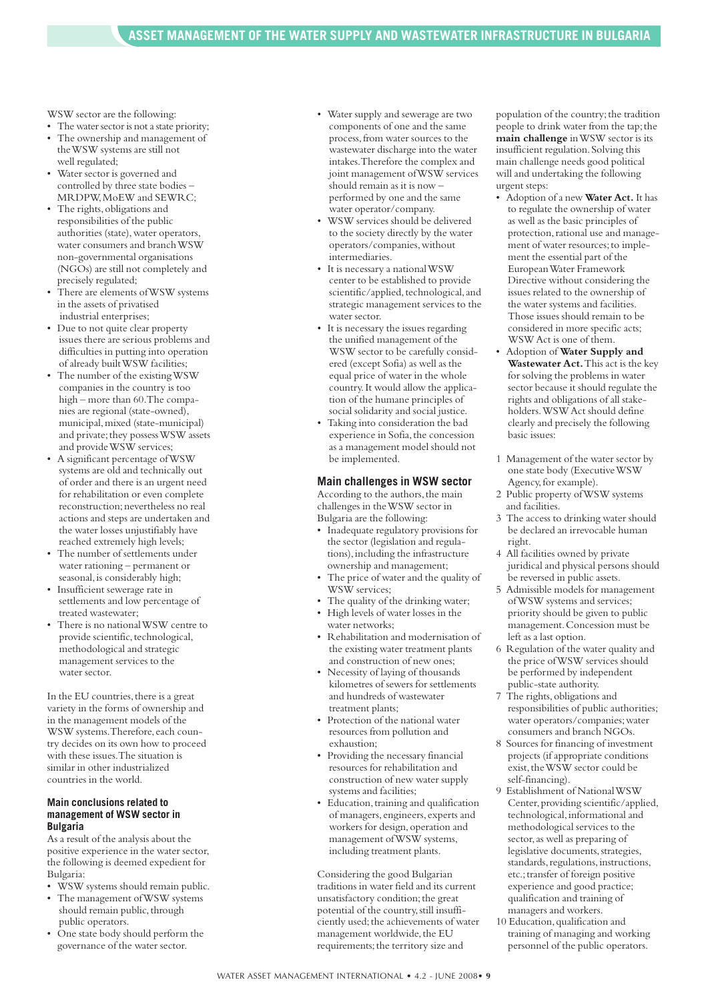WSW sector are the following:

- The water sector is not a state priority: • The ownership and management of theWSW systems are still not
- well regulated; • Water sector is governed and controlled by three state bodies – MRDPW, MoEW and SEWRC:
- The rights, obligations and responsibilities of the public authorities (state), water operators, water consumers and branchWSW non-governmental organisations (NGOs) are still not completely and precisely regulated;
- There are elements of WSW systems in the assets of privatised industrial enterprises;
- Due to not quite clear property issues there are serious problems and difficulties in putting into operation of already builtWSW facilities;
- The number of the existingWSW companies in the country is too high – more than 60.The companies are regional (state-owned), municipal,mixed (state-municipal) and private; they possess WSW assets and provideWSW services;
- A significant percentage ofWSW systems are old and technically out of order and there is an urgent need for rehabilitation or even complete reconstruction; nevertheless no real actions and steps are undertaken and the water losses unjustifiably have reached extremely high levels;
- The number of settlements under water rationing – permanent or seasonal, is considerably high;
- Insufficient sewerage rate in settlements and low percentage of treated wastewater;
- There is no nationalWSW centre to provide scientific, technological, methodological and strategic management services to the water sector.

In the EU countries, there is a great variety in the forms of ownership and in the management models of the WSW systems.Therefore, each country decides on its own how to proceed with these issues.The situation is similar in other industrialized countries in the world.

#### **Main conclusions related to management of WSW sector in Bulgaria**

As a result of the analysis about the positive experience in the water sector, the following is deemed expedient for Bulgaria:

- WSW systems should remain public.
- The management ofWSW systems should remain public, through public operators.
- One state body should perform the governance of the water sector.
- Water supply and sewerage are two components of one and the same process,from water sources to the wastewater discharge into the water intakes.Therefore the complex and joint management ofWSW services should remain as it is now – performed by one and the same water operator/company.
- WSW services should be delivered to the society directly by the water operators/companies,without intermediaries.
- It is necessary a nationalWSW center to be established to provide scientific/applied, technological, and strategic management services to the water sector.
- It is necessary the issues regarding the unified management of the WSW sector to be carefully considered (except Sofia) as well as the equal price of water in the whole country.It would allow the application of the humane principles of social solidarity and social justice.
- Taking into consideration the bad experience in Sofia, the concession as a management model should not be implemented.

#### **Main challenges in WSW sector**

According to the authors, the main challenges in theWSW sector in Bulgaria are the following:

- Inadequate regulatory provisions for the sector (legislation and regulations),including the infrastructure ownership and management;
- The price of water and the quality of WSW services;
- The quality of the drinking water; • High levels of water losses in the
- water networks; • Rehabilitation and modernisation of
- the existing water treatment plants and construction of new ones;
- Necessity of laying of thousands kilometres of sewers for settlements and hundreds of wastewater treatment plants;
- Protection of the national water resources from pollution and exhaustion;
- Providing the necessary financial resources for rehabilitation and construction of new water supply systems and facilities;
- Education, training and qualification of managers, engineers, experts and workers for design, operation and management ofWSW systems, including treatment plants.

Considering the good Bulgarian traditions in water field and its current unsatisfactory condition;the great potential of the country, still insufficiently used; the achievements of water management worldwide,the EU requirements; the territory size and

population of the country; the tradition people to drink water from the tap;the **main challenge** inWSW sector is its insufficient regulation.Solving this main challenge needs good political will and undertaking the following urgent steps:

- Adoption of a new **Water Act.** It has to regulate the ownership of water as well as the basic principles of protection, rational use and management of water resources;to implement the essential part of the EuropeanWater Framework Directive without considering the issues related to the ownership of the water systems and facilities. Those issues should remain to be considered in more specific acts; WSWAct is one of them.
- Adoption of **Water Supply and Wastewater Act.**This act is the key for solving the problems in water sector because it should regulate the rights and obligations of all stakeholders.WSWAct should define clearly and precisely the following basic issues:
- 1 Management of the water sector by one state body (ExecutiveWSW Agency, for example).
- 2 Public property ofWSW systems and facilities.
- 3 The access to drinking water should be declared an irrevocable human right.
- 4 All facilities owned by private juridical and physical persons should be reversed in public assets.
- 5 Admissible models for management ofWSW systems and services; priority should be given to public management.Concession must be left as a last option.
- 6 Regulation of the water quality and the price ofWSW services should be performed by independent public-state authority.
- 7 The rights,obligations and responsibilities of public authorities; water operators/companies;water consumers and branch NGOs.
- 8 Sources for financing of investment projects (if appropriate conditions exist, the WSW sector could be self-financing).
- 9 Establishment of National WSW Center, providing scientific/applied, technological, informational and methodological services to the sector, as well as preparing of legislative documents, strategies, standards, regulations, instructions, etc.;transfer of foreign positive experience and good practice; qualification and training of managers and workers.
- 10 Education,qualification and training of managing and working personnel of the public operators.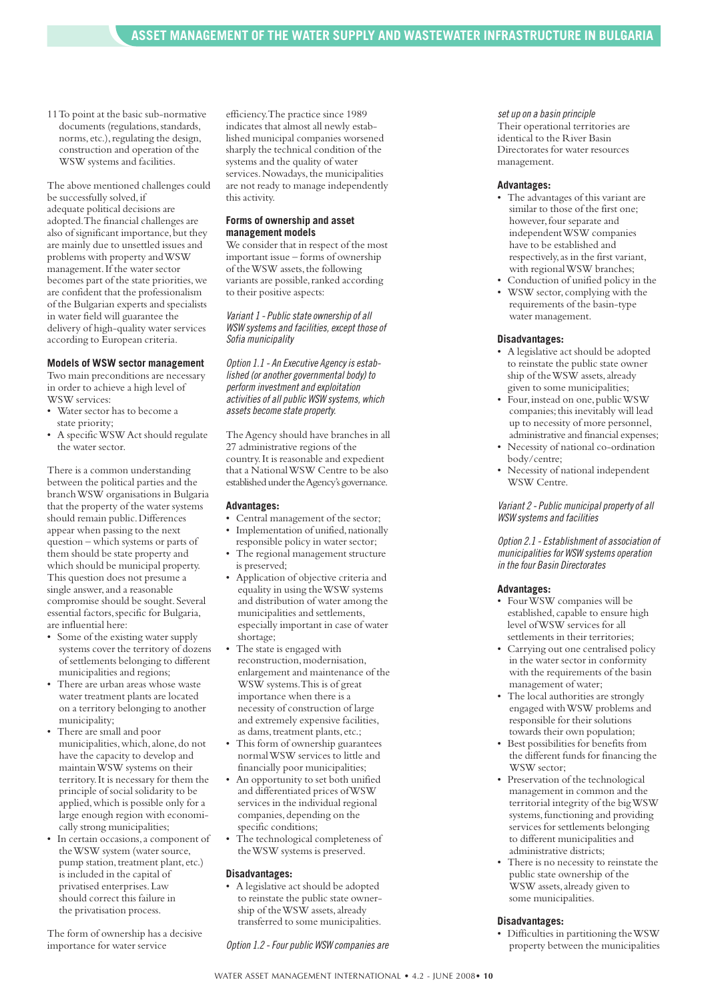11To point at the basic sub-normative documents (regulations, standards, norms, etc.), regulating the design, construction and operation of the WSW systems and facilities.

The above mentioned challenges could be successfully solved,if adequate political decisions are adopted.The financial challenges are also of significant importance, but they are mainly due to unsettled issues and problems with property andWSW management. If the water sector becomes part of the state priorities,we are confident that the professionalism of the Bulgarian experts and specialists in water field will guarantee the delivery of high-quality water services according to European criteria.

#### **Models of WSW sector management**

Two main preconditions are necessary in order to achieve a high level of WSW services:

- Water sector has to become a state priority;
- A specific WSW Act should regulate the water sector.

There is a common understanding between the political parties and the branchWSW organisations in Bulgaria that the property of the water systems should remain public.Differences appear when passing to the next question – which systems or parts of them should be state property and which should be municipal property. This question does not presume a single answer, and a reasonable compromise should be sought. Several essential factors,specific for Bulgaria, are influential here:

- Some of the existing water supply systems cover the territory of dozens of settlements belonging to different municipalities and regions;
- There are urban areas whose waste water treatment plants are located on a territory belonging to another municipality;
- There are small and poor municipalities, which, alone, do not have the capacity to develop and maintainWSW systems on their territory.It is necessary for them the principle of social solidarity to be applied,which is possible only for a large enough region with economically strong municipalities;
- In certain occasions, a component of theWSW system (water source, pump station, treatment plant, etc.) is included in the capital of privatised enterprises.Law should correct this failure in the privatisation process.

The form of ownership has a decisive importance for water service

efficiency.The practice since 1989 indicates that almost all newly established municipal companies worsened sharply the technical condition of the systems and the quality of water services. Nowadays, the municipalities are not ready to manage independently this activity.

#### **Forms of ownership and asset management models**

We consider that in respect of the most important issue – forms of ownership of the WSW assets, the following variants are possible, ranked according to their positive aspects:

*Variant 1 - Public state ownership of all WSW systems and facilities,except thoseof Sofia municipality*

**Option** 1.1 - An Executive Agency is estab*lished (or another governmental body) to perform investment and exploitation activitiesof all public WSW systems, which*  $$ 

The Agency should have branches in all 27 administrative regions of the country.It is reasonable and expedient that a NationalWSW Centre to be also established under the Agency's governance.

#### **Advantages:**

- Central management of the sector; • Implementation of unified, nationally
- responsible policy in water sector; The regional management structure
- is preserved;
- Application of objective criteria and equality in using theWSW systems and distribution of water among the municipalities and settlements, especially important in case of water shortage;
- The state is engaged with reconstruction, modernisation, enlargement and maintenance of the WSW systems.This is of great importance when there is a necessity of construction of large and extremely expensive facilities,
- as dams, treatment plants, etc.; This form of ownership guarantees normalWSW services to little and financially poor municipalities;
- An opportunity to set both unified and differentiated prices ofWSW services in the individual regional companies, depending on the specific conditions;
- The technological completeness of theWSW systems is preserved.

#### **Disadvantages:**

• A legislative act should be adopted to reinstate the public state ownership of theWSW assets,already transferred to some municipalities.

*Option 1.2 -Four public WSW companies are*

#### *set up on a basin principle*

Their operational territories are identical to the River Basin Directorates for water resources management.

#### **Advantages:**

- The advantages of this variant are similar to those of the first one; however,four separate and independentWSW companies have to be established and respectively,as in the first variant, with regionalWSW branches;
- Conduction of unified policy in the
- WSW sector, complying with the requirements of the basin-type water management.

#### **Disadvantages:**

- A legislative act should be adopted to reinstate the public state owner ship of theWSW assets,already given to some municipalities;
- Four,instead on one,publicWSW companies; this inevitably will lead up to necessity of more personnel, administrative and financial expenses;
- Necessity of national co-ordination body/centre;
- Necessity of national independent WSW Centre.

#### *Variant 2 - Public municipal propertyof all WSW systems and facilities*

*Option 2.1 - Establishmentof association of municipalitiesfor WSW systemsoperation in thefour Basin Directorates*

#### **Advantages:**

- FourWSW companies will be established, capable to ensure high level ofWSW services for all settlements in their territories;
- Carrying out one centralised policy in the water sector in conformity with the requirements of the basin management of water;
- The local authorities are strongly engaged withWSW problems and responsible for their solutions towards their own population;
- Best possibilities for benefits from the different funds for financing the WSW sector;
- Preservation of the technological management in common and the territorial integrity of the bigWSW systems, functioning and providing services for settlements belonging to different municipalities and administrative districts;
- There is no necessity to reinstate the public state ownership of the WSW assets,already given to some municipalities.

#### **Disadvantages:**

• Difficulties in partitioning theWSW property between the municipalities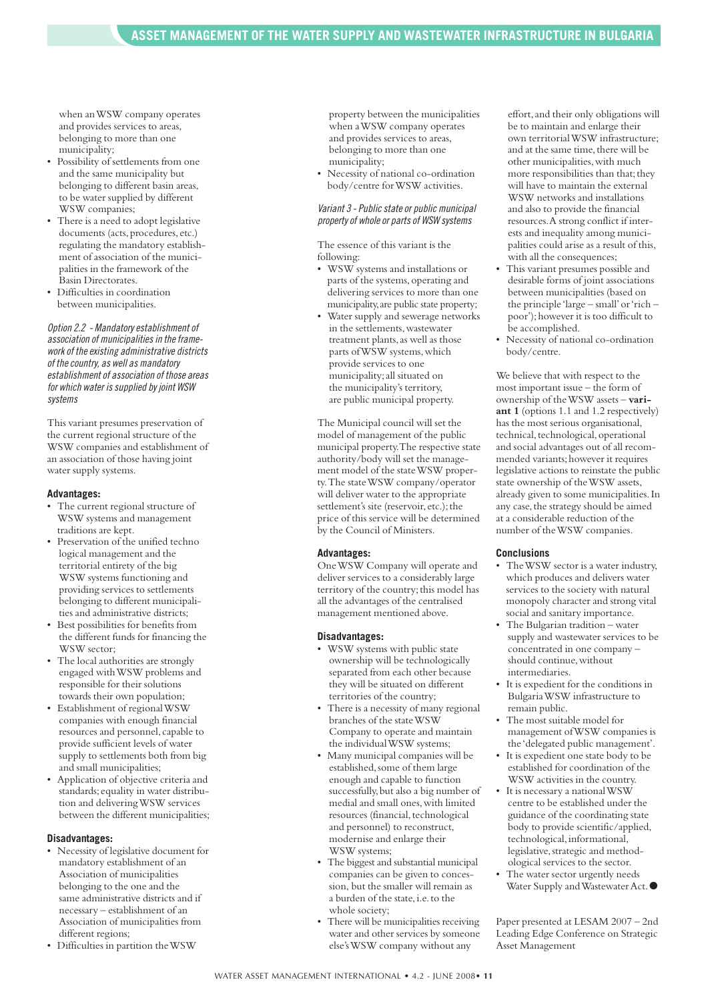when anWSW company operates and provides services to areas, belonging to more than one municipality;

- Possibility of settlements from one and the same municipality but belonging to different basin areas, to be water supplied by different WSW companies;
- There is a need to adopt legislative documents (acts, procedures, etc.) regulating the mandatory establishment of association of the municipalities in the framework of the Basin Directorates.
- Difficulties in coordination between municipalities.

*Option 2.2 - Mandatoryestablishmentof association of municipalitiesin theframeworkof theexisting administrative districts of thecountry, as well as mandatory establishmentof association of those areas for which water issupplied by joint WSW systems*

This variant presumes preservation of the current regional structure of the WSW companies and establishment of an association of those having joint water supply systems.

#### **Advantages:**

- The current regional structure of WSW systems and management traditions are kept.
- Preservation of the unified techno logical management and the territorial entirety of the big WSW systems functioning and providing services to settlements belonging to different municipalities and administrative districts;
- Best possibilities for benefits from the different funds for financing the WSW sector:
- The local authorities are strongly engaged withWSW problems and responsible for their solutions towards their own population;
- Establishment of regionalWSW companies with enough financial resources and personnel, capable to provide sufficient levels of water supply to settlements both from big and small municipalities;
- Application of objective criteria and standards; equality in water distribution and deliveringWSW services between the different municipalities;

#### **Disadvantages:**

- Necessity of legislative document for mandatory establishment of an Association of municipalities belonging to the one and the same administrative districts and if necessary – establishment of an Association of municipalities from different regions:
- Difficulties in partition theWSW

property between the municipalities when aWSW company operates and provides services to areas, belonging to more than one municipality;

Necessity of national co-ordination body/centre forWSW activities.

*Variant 3 - Publicstateor public municipal propertyof wholeor partsof WSW systems*

The essence of this variant is the following:

- WSW systems and installations or parts of the systems, operating and delivering services to more than one municipality,are public state property;
- Water supply and sewerage networks in the settlements, wastewater treatment plants, as well as those parts ofWSW systems,which provide services to one municipality;all situated on the municipality's territory, are public municipal property.

The Municipal council will set the model of management of the public municipal property.The respective state authority/body will set the management model of the stateWSW property.The stateWSW company/operator will deliver water to the appropriate settlement's site (reservoir, etc.); the price of this service will be determined by the Council of Ministers.

#### **Advantages:**

OneWSW Company will operate and deliver services to a considerably large territory of the country;this model has all the advantages of the centralised management mentioned above.

#### **Disadvantages:**

- WSW systems with public state ownership will be technologically separated from each other because they will be situated on different territories of the country;
- There is a necessity of many regional branches of the stateWSW Company to operate and maintain the individual WSW systems;
- Many municipal companies will be established, some of them large enough and capable to function successfully,but also a big number of medial and small ones, with limited resources (financial, technological and personnel) to reconstruct, modernise and enlarge their WSW systems;
- The biggest and substantial municipal companies can be given to concession, but the smaller will remain as a burden of the state,i.e.to the whole society;
- There will be municipalities receiving water and other services by someone else'sWSW company without any

effort,and their only obligations will be to maintain and enlarge their own territorialWSW infrastructure; and at the same time, there will be other municipalities,with much more responsibilities than that; they will have to maintain the external WSW networks and installations and also to provide the financial resources.A strong conflict if interests and inequality among municipalities could arise as a result of this, with all the consequences;

- This variant presumes possible and desirable forms of joint associations between municipalities (based on the principle 'large – small'or'rich – poor');however it is too difficult to be accomplished.
- Necessity of national co-ordination body/centre.

We believe that with respect to the most important issue – the form of ownership of theWSW assets – **variant 1** (options 1.1 and 1.2 respectively) has the most serious organisational, technical, technological, operational and social advantages out of all recommended variants;however it requires legislative actions to reinstate the public state ownership of theWSW assets, already given to some municipalities.In any case,the strategy should be aimed at a considerable reduction of the number of theWSW companies.

#### **Conclusions**

- TheWSW sector is a water industry, which produces and delivers water services to the society with natural monopoly character and strong vital social and sanitary importance.
- The Bulgarian tradition water supply and wastewater services to be concentrated in one company – should continue, without intermediaries.
- It is expedient for the conditions in BulgariaWSW infrastructure to remain public.
- The most suitable model for management ofWSW companies is the 'delegated public management'.
- It is expedient one state body to be established for coordination of the WSW activities in the country.
- It is necessary a national WSW centre to be established under the guidance of the coordinating state body to provide scientific/applied, technological, informational, legislative, strategic and methodological services to the sector.
- The water sector urgently needs Water Supply andWastewaterAct.**●**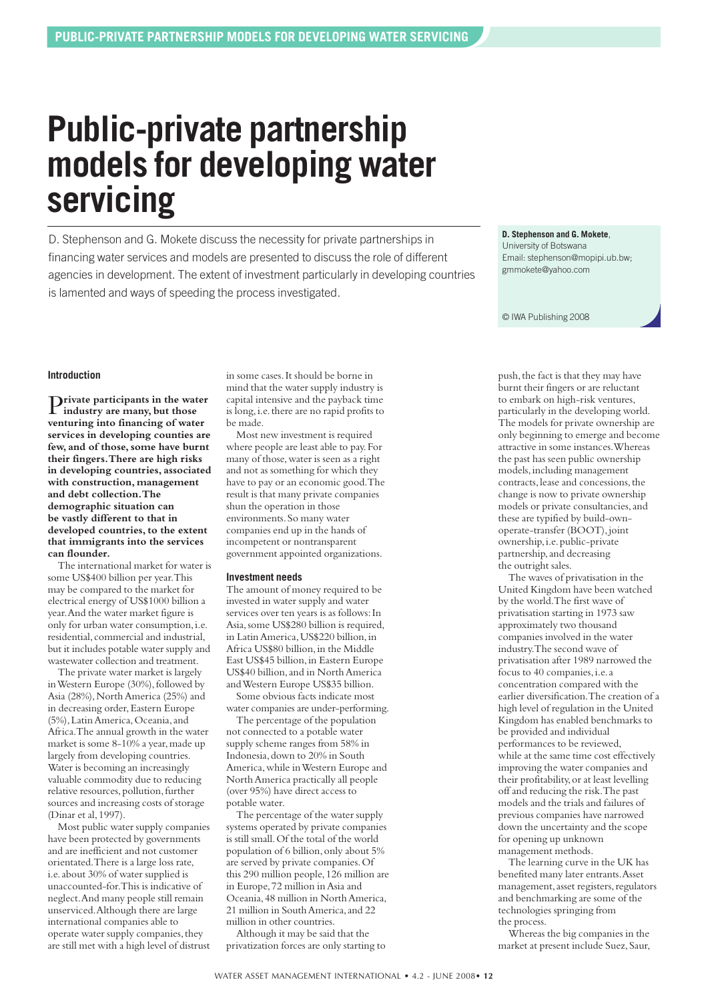## **Public-private partnership models for developing water servicing**

D. Stephenson and G. Mokete discuss the necessity for private partnerships in financing water services and models are presented to discuss the role of different agencies in development. The extent of investment particularly in developing countries is lamented and ways of speeding the process investigated.

**D. Stephenson and G. Mokete**,

University of Botswana Email: stephenson@mopipi.ub.bw; gmmokete@yahoo.com

© IWA Publishing 2008

#### **Introduction**

P**rivate participants in the water industry are many, but those venturing into financing of water services in developing counties are few, and of those,some have burnt their fingers.There are high risks in developing countries, associated with construction, management and debt collection.The demographic situation can be vastly different to that in developed countries,to the extent that immigrants into the services can flounder.**

The international market for water is some US\$400 billion per year.This may be compared to the market for electrical energy of US\$1000 billion a year.And the water market figure is only for urban water consumption,i.e. residential, commercial and industrial, but it includes potable water supply and wastewater collection and treatment.

The private water market is largely in Western Europe (30%), followed by Asia (28%), North America (25%) and in decreasing order, Eastern Europe (5%),LatinAmerica,Oceania,and Africa.The annual growth in the water market is some 8-10% a year, made up largely from developing countries. Water is becoming an increasingly valuable commodity due to reducing relative resources, pollution, further sources and increasing costs of storage (Dinar et al,1997).

Most public water supply companies have been protected by governments and are inefficient and not customer orientated.There is a large loss rate, i.e.about 30% of water supplied is unaccounted-for.This is indicative of neglect.And many people still remain unserviced.Although there are large international companies able to operate water supply companies, they are still met with a high level of distrust

in some cases.It should be borne in mind that the water supply industry is capital intensive and the payback time is long, i.e. there are no rapid profits to be made.

Most new investment is required where people are least able to pay.For many of those,water is seen as a right and not as something for which they have to pay or an economic good.The result is that many private companies shun the operation in those environments.So many water companies end up in the hands of incompetent or nontransparent government appointed organizations.

#### **Investment needs**

The amount of money required to be invested in water supply and water services over ten years is as follows:In Asia,some US\$280 billion is required, in LatinAmerica,US\$220 billion,in Africa US\$80 billion,in the Middle East US\$45 billion,in Eastern Europe US\$40 billion,and in NorthAmerica andWestern Europe US\$35 billion.

Some obvious facts indicate most water companies are under-performing.

The percentage of the population not connected to a potable water supply scheme ranges from 58% in Indonesia,down to 20% in South America,while inWestern Europe and NorthAmerica practically all people (over 95%) have direct access to potable water.

The percentage of the water supply systems operated by private companies is still small.Of the total of the world population of 6 billion,only about 5% are served by private companies.Of this 290 million people,126 million are in Europe,72 million inAsia and Oceania,48 million in NorthAmerica, 21 million in SouthAmerica,and 22 million in other countries.

Although it may be said that the privatization forces are only starting to push, the fact is that they may have burnt their fingers or are reluctant to embark on high-risk ventures, particularly in the developing world. The models for private ownership are only beginning to emerge and become attractive in some instances.Whereas the past has seen public ownership models,including management contracts, lease and concessions, the change is now to private ownership models or private consultancies, and these are typified by build-ownoperate-transfer (BOOT), joint ownership, i.e. public-private partnership,and decreasing the outright sales.

The waves of privatisation in the United Kingdom have been watched by the world.The first wave of privatisation starting in 1973 saw approximately two thousand companies involved in the water industry.The second wave of privatisation after 1989 narrowed the focus to 40 companies, i.e. a concentration compared with the earlier diversification.The creation of a high level of regulation in the United Kingdom has enabled benchmarks to be provided and individual performances to be reviewed, while at the same time cost effectively improving the water companies and their profitability,or at least levelling off and reducing the risk.The past models and the trials and failures of previous companies have narrowed down the uncertainty and the scope for opening up unknown management methods.

The learning curve in the UK has benefited many later entrants.Asset management, asset registers, regulators and benchmarking are some of the technologies springing from the process.

Whereas the big companies in the market at present include Suez, Saur,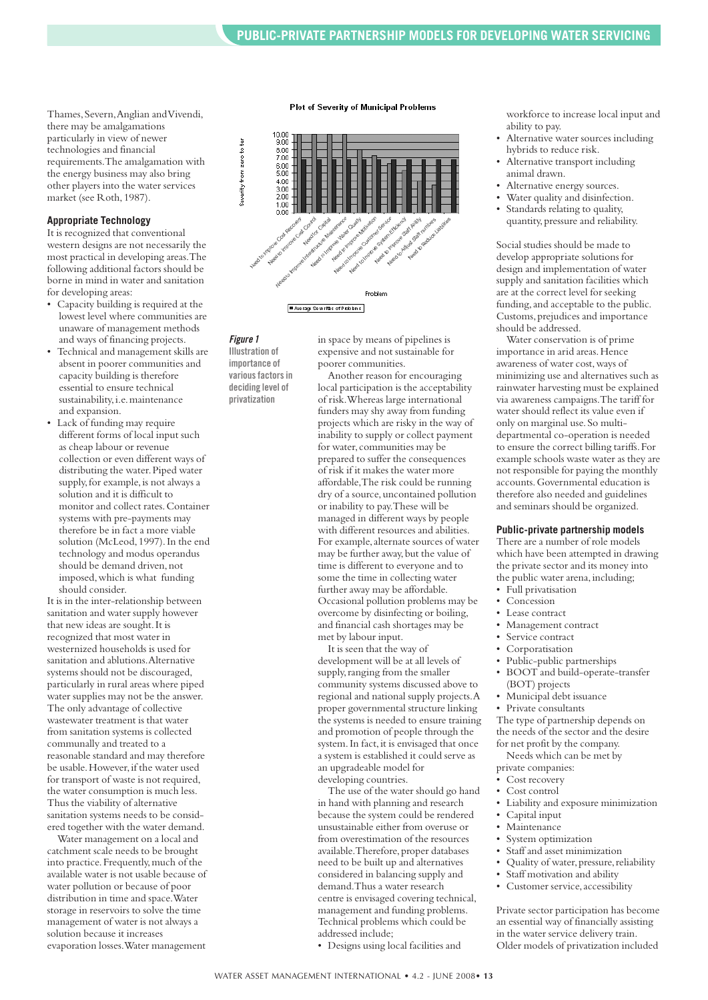Thames, Severn, Anglian and Vivendi, there may be amalgamations particularly in view of newer technologies and financial requirements.The amalgamation with the energy business may also bring other players into the water services market (see Roth,1987).

#### **Appropriate Technology**

It is recognized that conventional western designs are not necessarily the most practical in developing areas.The following additional factors should be borne in mind in water and sanitation for developing areas:

- Capacity building is required at the lowest level where communities are unaware of management methods and ways of financing projects.
- Technical and management skills are absent in poorer communities and capacity building is therefore essential to ensure technical sustainability, i.e. maintenance and expansion.
- Lack of funding may require different forms of local input such as cheap labour or revenue collection or even different ways of distributing the water.Piped water supply, for example, is not always a solution and it is difficult to monitor and collect rates.Container systems with pre-payments may therefore be in fact a more viable solution (McLeod,1997).In the end technology and modus operandus should be demand driven, not imposed,which is what funding should consider.

It is in the inter-relationship between sanitation and water supply however that new ideas are sought.It is recognized that most water in westernized households is used for sanitation and ablutions.Alternative systems should not be discouraged, particularly in rural areas where piped water supplies may not be the answer. The only advantage of collective wastewater treatment is that water from sanitation systems is collected communally and treated to a reasonable standard and may therefore be usable. However, if the water used for transport of waste is not required, the water consumption is much less. Thus the viability of alternative sanitation systems needs to be considered together with the water demand.

Water management on a local and catchment scale needs to be brought into practice.Frequently,much of the available water is not usable because of water pollution or because of poor distribution in time and space.Water storage in reservoirs to solve the time management of water is not always a solution because it increases evaporation losses.Water management



#### *Figure 1*

**Illustration of importance of variousfactorsin deciding level of privatization**

in space by means of pipelines is expensive and not sustainable for poorer communities.

Another reason for encouraging local participation is the acceptability of risk.Whereas large international funders may shy away from funding projects which are risky in the way of inability to supply or collect payment for water, communities may be prepared to suffer the consequences of risk if it makes the water more affordable,The risk could be running dry of a source,uncontained pollution or inability to pay.These will be managed in different ways by people with different resources and abilities. For example, alternate sources of water may be further away, but the value of time is different to everyone and to some the time in collecting water further away may be affordable. Occasional pollution problems may be overcome by disinfecting or boiling, and financial cash shortages may be met by labour input.

It is seen that the way of development will be at all levels of supply, ranging from the smaller community systems discussed above to regional and national supply projects.A proper governmental structure linking the systems is needed to ensure training and promotion of people through the system. In fact, it is envisaged that once a system is established it could serve as an upgradeable model for developing countries.

The use of the water should go hand in hand with planning and research because the system could be rendered unsustainable either from overuse or from overestimation of the resources available. Therefore, proper databases need to be built up and alternatives considered in balancing supply and demand.Thus a water research centre is envisaged covering technical, management and funding problems. Technical problems which could be addressed include;

• Designs using local facilities and

workforce to increase local input and ability to pay.

- Alternative water sources including hybrids to reduce risk.
- Alternative transport including animal drawn.
- Alternative energy sources.
- Water quality and disinfection.
- Standards relating to quality, quantity, pressure and reliability.

Social studies should be made to develop appropriate solutions for design and implementation of water supply and sanitation facilities which are at the correct level for seeking funding, and acceptable to the public. Customs,prejudices and importance should be addressed.

Water conservation is of prime importance in arid areas. Hence awareness of water cost,ways of minimizing use and alternatives such as rainwater harvesting must be explained via awareness campaigns.The tariff for water should reflect its value even if only on marginal use.So multidepartmental co-operation is needed to ensure the correct billing tariffs.For example schools waste water as they are not responsible for paying the monthly accounts.Governmental education is therefore also needed and guidelines and seminars should be organized.

#### **Public-private partnership models**

There are a number of role models which have been attempted in drawing the private sector and its money into the public water arena, including;

- Full privatisation
- Concession
- Lease contract
- Management contract
- Service contract
	- **Corporatisation**
- Public-public partnerships
- BOOT and build-operate-transfer (BOT) projects
- Municipal debt issuance
- Private consultants

The type of partnership depends on the needs of the sector and the desire for net profit by the company.

Needs which can be met by private companies:

- Cost recovery
- Cost control
- 
- Liability and exposure minimization
- Capital input
- **Maintenance**
- System optimization
- Staff and asset minimization
- Quality of water, pressure, reliability
- Staff motivation and ability
- Customer service, accessibility

Private sector participation has become an essential way of financially assisting in the water service delivery train. Older models of privatization included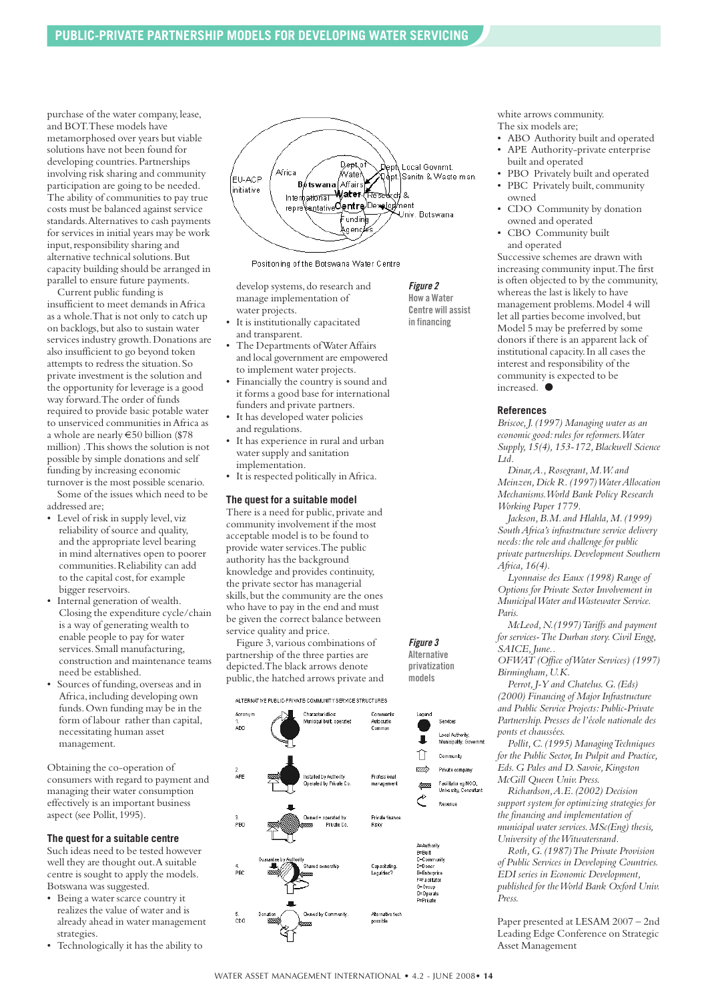purchase of the water company, lease, and BOT.These models have metamorphosed over years but viable solutions have not been found for developing countries.Partnerships involving risk sharing and community participation are going to be needed. The ability of communities to pay true costs must be balanced against service standards.Alternatives to cash payments for services in initial years may be work input, responsibility sharing and alternative technical solutions.But capacity building should be arranged in parallel to ensure future payments.

Current public funding is insufficient to meet demands inAfrica as a whole.That is not only to catch up on backlogs, but also to sustain water services industry growth.Donations are also insufficient to go beyond token attempts to redress the situation.So private investment is the solution and the opportunity for leverage is a good way forward.The order of funds required to provide basic potable water to unserviced communities inAfrica as a whole are nearly €50 billion (\$78 million) .This shows the solution is not possible by simple donations and self funding by increasing economic turnover is the most possible scenario.

Some of the issues which need to be addressed are;

- Level of risk in supply level, viz reliability of source and quality, and the appropriate level bearing in mind alternatives open to poorer communities.Reliability can add to the capital cost, for example bigger reservoirs.
- Internal generation of wealth. Closing the expenditure cycle/chain is a way of generating wealth to enable people to pay for water services.Small manufacturing, construction and maintenance teams need be established.
- Sources of funding,overseas and in Africa,including developing own funds.Own funding may be in the form of labour rather than capital, necessitating human asset management.

Obtaining the co-operation of consumers with regard to payment and managing their water consumption effectively is an important business aspect (see Pollit,1995).

#### **The quest for a suitable centre**

Such ideas need to be tested however well they are thought out.A suitable centre is sought to apply the models. Botswana was suggested.

- Being a water scarce country it realizes the value of water and is already ahead in water management strategies.
- Technologically it has the ability to



*Figure 2* **How a Water Centre will assist in financing**

*Figure 3* **Alternative privatization models**

Positioning of the Botswana Water Centre

develop systems, do research and manage implementation of

water projects.

- It is institutionally capacitated and transparent.
- The Departments of Water Affairs and local government are empowered to implement water projects.
- Financially the country is sound and it forms a good base for international funders and private partners.
- It has developed water policies and regulations.
- It has experience in rural and urban water supply and sanitation implementation.
- It is respected politically in Africa.

#### **The quest for a suitable model**

There is a need for public, private and community involvement if the most acceptable model is to be found to provide water services.The public authority has the background knowledge and provides continuity, the private sector has managerial skills, but the community are the ones who have to pay in the end and must be given the correct balance between service quality and price.

Figure 3, various combinations of partnership of the three parties are depicted.The black arrows denote public, the hatched arrows private and

ALTERNATIVE PUBLIC-PRIVATE COMMUNITY SERVICE STRUCTURES



white arrows community. The six models are;

- ABO Authority built and operated • APE Authority-private enterprise
- built and operated
- PBO Privately built and operated • PBC Privately built, community owned
- CDO Community by donation owned and operated
- CBO Community built and operated

Successive schemes are drawn with increasing community input.The first is often objected to by the community, whereas the last is likely to have management problems.Model 4 will let all parties become involved, but Model 5 may be preferred by some donors if there is an apparent lack of institutional capacity.In all cases the interest and responsibility of the community is expected to be increased. **●**

#### **References**

*Briscoe,J.(1997) Managing water as an economic good:rules for reformers.Water Supply,15(4),153-172,Blackwell Science Ltd.*

*Dinar,A.,Rosegrant,M.W. and Meinzen,Dick R.(1997)WaterAllocation Mechanisms.World Bank Policy Research Working Paper 1779.*

*Jackson,B.M. and Hlahla,M.(1999) SouthAfrica's infrastructure service delivery needs:the role and challenge for public private partnerships.Development Southern Africa,16(4).*

*Lyonnaise des Eaux (1998) Range of Options for Private Sector Involvement in MunicipalWater andWastewater Service. Paris.*

*McLeod,N.(1997)Tariffs and payment for services-The Durban story.Civil Engg,* SAICE, June..

*OFWAT (Office ofWater Services) (1997) Birmingham,U.K.*

*Perrot,J-Y and Chatelus.G.(Eds) (2000) Financing of Major Infrastructure and Public Service Projects:Public-Private Partnership.Presses de l'école nationale des ponts et chaussées.*

*Pollit,C.(1995) ManagingTechniques for the Public Sector,In Pulpit and Practice, Eds.G Pales and D.Savoie,Kingston McGill Queen Univ.Press.*

*Richardson,A.E.(2002) Decision support system for optimizing strategies for the financing and implementation of municipal water services.MSc(Eng) thesis, University of theWitwatersrand.*

*Roth,G.(1987)The Private Provision of Public Services in Developing Countries. EDI series in Economic Development, published for theWorld Bank Oxford Univ. Press.*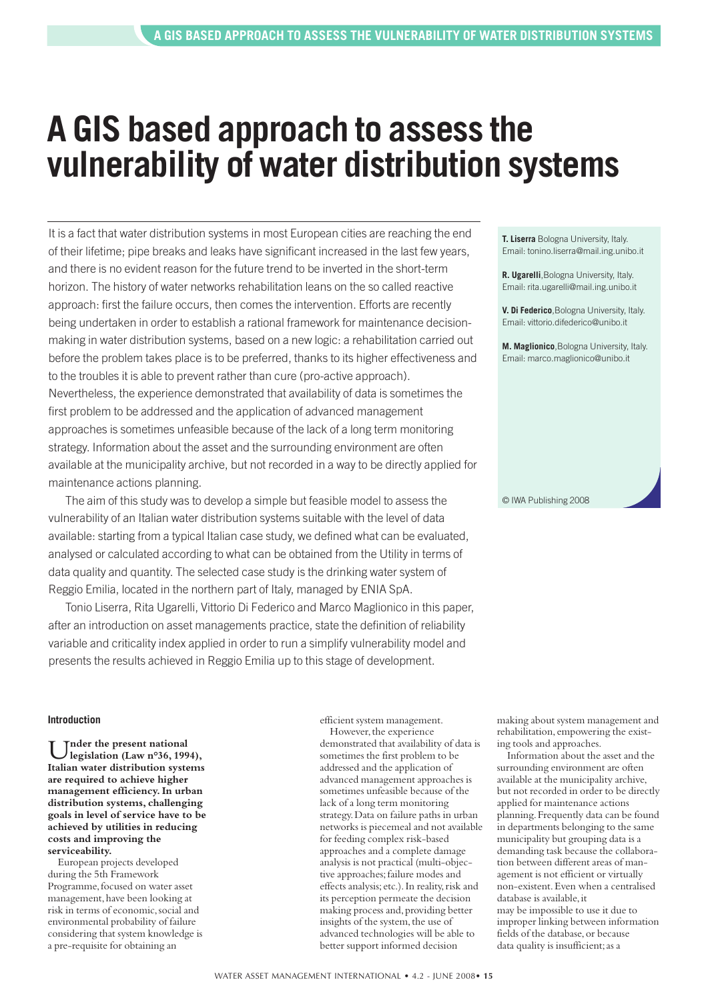## **A GIS based approach to assess the vulnerability of water distribution systems**

It is a fact that water distribution systems in most European cities are reaching the end of their lifetime; pipe breaks and leaks have significant increased in the last few years, and there is no evident reason for the future trend to be inverted in the short-term horizon. The history of water networks rehabilitation leans on the so called reactive approach: first the failure occurs, then comes the intervention. Efforts are recently being undertaken in order to establish a rational framework for maintenance decisionmaking in water distribution systems, based on a new logic: a rehabilitation carried out before the problem takes place is to be preferred, thanks to its higher effectiveness and to the troubles it is able to prevent rather than cure (pro-active approach). Nevertheless, the experience demonstrated that availability of data is sometimes the first problem to be addressed and the application of advanced management approaches is sometimes unfeasible because of the lack of a long term monitoring strategy. Information about the asset and the surrounding environment are often available at the municipality archive, but not recorded in a way to be directly applied for maintenance actions planning.

The aim of this study was to develop a simple but feasible model to assess the vulnerability of an Italian water distribution systems suitable with the level of data available: starting from a typical Italian case study, we defined what can be evaluated, analysed or calculated according to what can be obtained from the Utility in terms of data quality and quantity. The selected case study is the drinking water system of Reggio Emilia, located in the northern part of Italy, managed by ENIA SpA.

Tonio Liserra, Rita Ugarelli, Vittorio Di Federico and Marco Maglionico in this paper, after an introduction on asset managements practice, state the definition of reliability variable and criticality index applied in order to run a simplify vulnerability model and presents the results achieved in Reggio Emilia up to this stage of development.

**T. Liserra** Bologna University, Italy. Email: tonino.liserra@mail.ing.unibo.it

**R. Ugarelli**,Bologna University, Italy. Email: rita.ugarelli@mail.ing.unibo.it

**V. Di Federico**,Bologna University, Italy. Email: vittorio.difederico@unibo.it

**M. Maglionico**,Bologna University, Italy. Email: marco.maglionico@unibo.it

© IWA Publishing 2008

#### **Introduction**

U**nder the present national legislation (Law n°36, 1994), Italian water distribution systems are required to achieve higher management efficiency.In urban distribution systems, challenging goals in level of service have to be achieved by utilities in reducing costs and improving the serviceability.**

European projects developed during the 5th Framework Programme, focused on water asset management,have been looking at risk in terms of economic,social and environmental probability of failure considering that system knowledge is a pre-requisite for obtaining an

efficient system management. However, the experience

demonstrated that availability of data is sometimes the first problem to be addressed and the application of advanced management approaches is sometimes unfeasible because of the lack of a long term monitoring strategy.Data on failure paths in urban networks is piecemeal and not available for feeding complex risk-based approaches and a complete damage analysis is not practical (multi-objective approaches;failure modes and effects analysis; etc.).In reality,risk and its perception permeate the decision making process and, providing better insights of the system, the use of advanced technologies will be able to better support informed decision

making about system management and rehabilitation, empowering the existing tools and approaches.

Information about the asset and the surrounding environment are often available at the municipality archive, but not recorded in order to be directly applied for maintenance actions planning.Frequently data can be found in departments belonging to the same municipality but grouping data is a demanding task because the collaboration between different areas of management is not efficient or virtually non-existent.Even when a centralised database is available, it may be impossible to use it due to improper linking between information fields of the database, or because data quality is insufficient;as a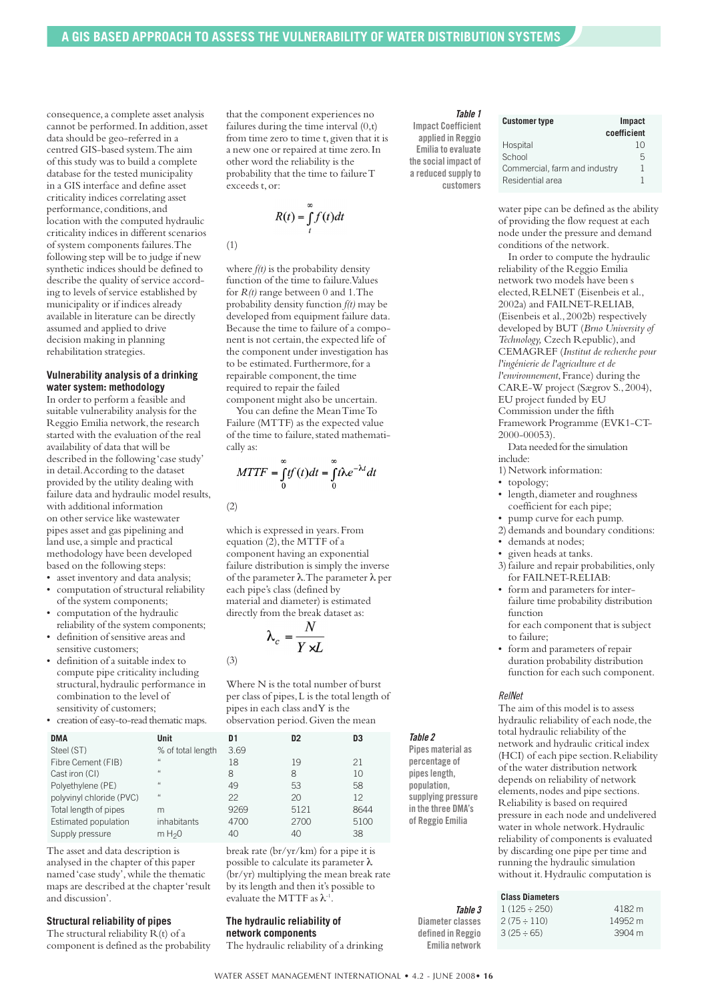consequence,a complete asset analysis cannot be performed. In addition, asset data should be geo-referred in a centred GIS-based system.The aim of this study was to build a complete database for the tested municipality in a GIS interface and define asset criticality indices correlating asset performance, conditions,and location with the computed hydraulic criticality indices in different scenarios of system components failures.The following step will be to judge if new synthetic indices should be defined to describe the quality of service according to levels of service established by municipality or if indices already available in literature can be directly assumed and applied to drive decision making in planning rehabilitation strategies.

#### **Vulnerability analysis of a drinking water system: methodology**

In order to perform a feasible and suitable vulnerability analysis for the Reggio Emilia network, the research started with the evaluation of the real availability of data that will be described in the following 'case study' in detail.According to the dataset provided by the utility dealing with failure data and hydraulic model results, with additional information on other service like wastewater pipes asset and gas pipelining and land use, a simple and practical methodology have been developed based on the following steps:

- asset inventory and data analysis; • computation of structural reliability
- of the system components; computation of the hydraulic
- reliability of the system components; • definition of sensitive areas and sensitive customers;
- definition of a suitable index to compute pipe criticality including structural,hydraulic performance in combination to the level of sensitivity of customers;
- creation of easy-to-read thematic maps.

| <b>DMA</b>               | Unit               | D1   | D <sub>2</sub> | D3   |
|--------------------------|--------------------|------|----------------|------|
| Steel (ST)               | % of total length  | 3.69 |                |      |
| Fibre Cement (FIB)       | $\mu$              | 18   | 19             | 21   |
| Cast iron (CI)           | $\mu$              | 8    | 8              | 10   |
| Polyethylene (PE)        | $\mu$              | 49   | 53             | 58   |
| polyvinyl chloride (PVC) | $\mu$              | 22   | 20             | 12   |
| Total length of pipes    | m                  | 9269 | 5121           | 8644 |
| Estimated population     | inhabitants        | 4700 | 2700           | 5100 |
| Supply pressure          | m H <sub>2</sub> 0 | 40   | 40             | 38   |

The asset and data description is analysed in the chapter of this paper named'case study',while the thematic maps are described at the chapter'result and discussion'.

#### **Structural reliability of pipes**

The structural reliability R(t) of a component is defined as the probability that the component experiences no failures during the time interval (0,t) from time zero to time t, given that it is a new one or repaired at time zero.In other word the reliability is the probability that the time to failureT exceeds t,or:

$$
R(t) = \int_{t}^{\infty} f(t)dt
$$

$$
(1)
$$

where *f(t)* is the probability density function of the time to failure. Values for *R(t)* range between 0 and 1.The probability density function *f(t)* may be developed from equipment failure data. Because the time to failure of a component is not certain, the expected life of the component under investigation has to be estimated.Furthermore,for a repairable component, the time required to repair the failed component might also be uncertain.

You can define the MeanTimeTo Failure (MTTF) as the expected value of the time to failure, stated mathematically as:

$$
MTTF = \int_{0}^{\infty} tf(t)dt = \int_{0}^{\infty} t\lambda e^{-\lambda t}dt
$$

(2)

(3)

which is expressed in years.From equation  $(2)$ , the MTTF of a component having an exponential failure distribution is simply the inverse of the parameter λ.The parameter λ per each pipe's class (defined by material and diameter) is estimated directly from the break dataset as:

$$
\lambda_c = \frac{N}{Y \times L}
$$

Where N is the total number of burst per class of pipes,L is the total length of pipes in each class andY is the observation period.Given the mean

| Init               | D1   | D <sub>2</sub> | D <sub>3</sub> |
|--------------------|------|----------------|----------------|
| 6 of total length  | 3.69 |                |                |
|                    | 18   | 19             | 21             |
|                    | 8    | 8              | 10             |
|                    | 49   | 53             | 58             |
|                    | 22   | 20             | 12             |
| h                  | 9269 | 5121           | 8644           |
| าhabitants         | 4700 | 2700           | 5100           |
| 1 H <sub>2</sub> 0 | 40   | 40             | 38             |

break rate (br/yr/km) for a pipe it is possible to calculate its parameter  $\lambda$ (br/yr) multiplying the mean break rate by its length and then it's possible to evaluate the MTTF as  $\lambda$ <sup>-1</sup>.

#### **The hydraulic reliability of network components**

The hydraulic reliability of a drinking

#### *Table 1*

**Impact Coefficient applied in Reggio Emilia to evaluate the social impact of a reduced supplyto customers**

| <b>Customer type</b>          | Impact<br>coefficient |
|-------------------------------|-----------------------|
| Hospital                      | 10                    |
| School                        | 5                     |
| Commercial, farm and industry | 1                     |
| Residential area              |                       |

water pipe can be defined as the ability of providing the flow request at each node under the pressure and demand conditions of the network.

In order to compute the hydraulic reliability of the Reggio Emilia network two models have been s elected,RELNET (Eisenbeis et al., 2002a) and FAILNET-RELIAB, (Eisenbeis et al.,2002b) respectively developed by BUT (*Brno University of Technology,* Czech Republic),and CEMAGREF (*Institut de recherche pour l'ingénierie de l'agriculture et de l'environnement*, France) during the CARE-W project (Sægrov S.,2004), EU project funded by EU Commission under the fifth Framework Programme (EVK1-CT-2000-00053).

Data needed for the simulation include:

- 1) Network information:
- topology;
- length, diameter and roughness coefficient for each pipe;
- pump curve for each pump.
- 2) demands and boundary conditions: • demands at nodes;
- given heads at tanks.
- 3) failure and repair probabilities,only
- for FAILNET-RELIAB:
- form and parameters for interfailure time probability distribution function
- for each component that is subject to failure;
- form and parameters of repair duration probability distribution function for each such component.

#### *RelNet*

*Table 2* **Pipes material as percentage of pipeslength, population, supplying pressure in the three DMA's of Reggio Emilia**

The aim of this model is to assess hydraulic reliability of each node, the total hydraulic reliability of the network and hydraulic critical index (HCI) of each pipe section. Reliability of the water distribution network depends on reliability of network elements, nodes and pipe sections. Reliability is based on required pressure in each node and undelivered water in whole network.Hydraulic reliability of components is evaluated by discarding one pipe per time and running the hydraulic simulation without it.Hydraulic computation is

| <b>Class Diameters</b> |  |  |
|------------------------|--|--|
|                        |  |  |
|                        |  |  |

| <i>Table 3</i>    | $1(125 \div 250)$ | 4182 m  |
|-------------------|-------------------|---------|
| Diameter classes  | $2(75 \div 110)$  | 14952 m |
| defined in Reggio | $3(25 \div 65)$   | 3904 m  |
| Emilia network    |                   |         |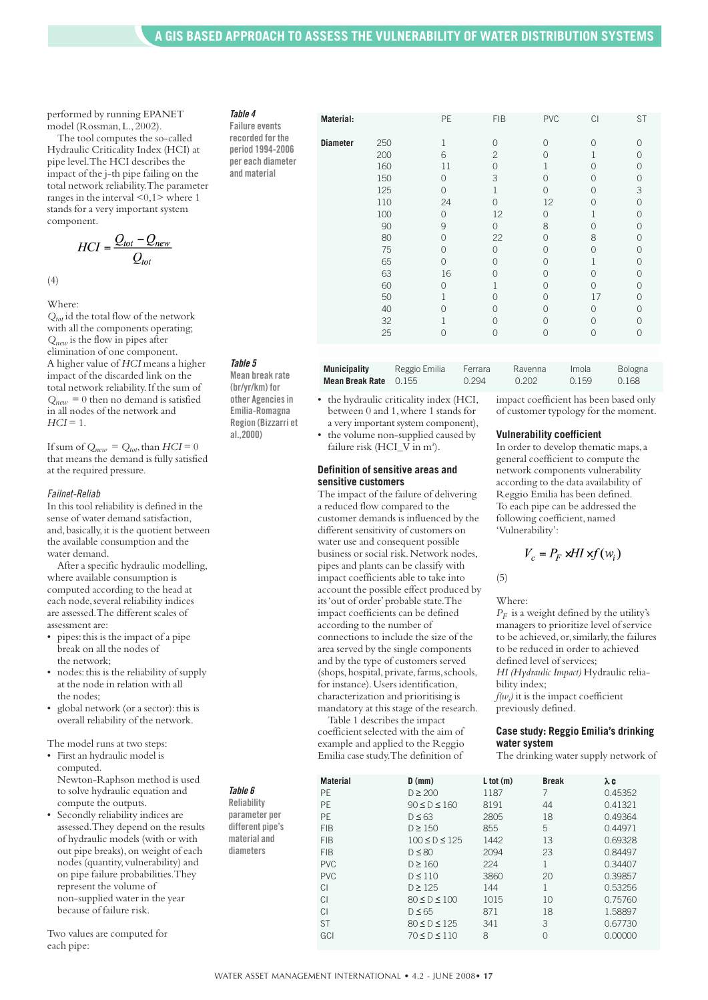performed by running EPANET model (Rossman,L.,2002).

The tool computes the so-called Hydraulic Criticality Index (HCI) at pipe level.The HCI describes the impact of the j-th pipe failing on the total network reliability.The parameter ranges in the interval <0,1> where 1 stands for a very important system component.

$$
HCI = \frac{Q_{tot} - Q_{new}}{Q_{tot}}
$$

(4)

Where:

*Qtot* id the total flow of the network with all the components operating; *Qnew* is the flow in pipes after elimination of one component. A higher value of *HCI* means a higher impact of the discarded link on the total network reliability.If the sum of  $Q_{new} = 0$  then no demand is satisfied in all nodes of the network and  $HCI = 1$ .

If sum of  $Q_{new} = Q_{tot}$ , than  $HCI = 0$ that means the demand is fully satisfied at the required pressure.

#### *Failnet-Reliab*

In this tool reliability is defined in the sense of water demand satisfaction, and,basically,it is the quotient between the available consumption and the water demand.

After a specific hydraulic modelling, where available consumption is computed according to the head at each node, several reliability indices are assessed.The different scales of assessment are:

- pipes:this is the impact of a pipe break on all the nodes of the network;
- nodes: this is the reliability of supply at the node in relation with all the nodes;
- global network (or a sector): this is overall reliability of the network.

The model runs at two steps:

- First an hydraulic model is computed. Newton-Raphson method is used to solve hydraulic equation and compute the outputs.
- Secondly reliability indices are assessed.They depend on the results of hydraulic models (with or with out pipe breaks),on weight of each nodes (quantity, vulnerability) and on pipe failure probabilities.They represent the volume of non-supplied water in the year because of failure risk.

Two values are computed for each pipe:

| Table 4               |  |
|-----------------------|--|
| <b>Failure events</b> |  |
| recorded for tl       |  |

**and material**

**recorded for the period 1994-2006 per each diameter**

*Table 5* **Mean break rate**

**(br/yr/km) for other Agenciesin Emilia-Romagna Region (Bizzarri et al.,2000)**

| <b>Municipality</b>            | Reggio Emilia | Ferrara | Ravenna | Imola | <b>Bologna</b> |
|--------------------------------|---------------|---------|---------|-------|----------------|
| <b>Mean Break Rate</b> $0.155$ |               | 0.294   | O 202   | 0.159 | 0.168          |
|                                |               |         |         |       |                |

**Material:** PE FIB PVC CI ST

**Diameter** 250 1 0 0 0 0

200 6 2 0 1 0 160 11 0 1 0 0 150 0 3 0 0 0 125 0 1 0 03 110 24 0 12 0 0 100 0 12 0 1 0 90 9 0 8 00 80 0 22 0 80 75 0 0 0 00 65 0 0 0 1 0 63 16 0 0 00 60 0 1 0 0 0 50 1 0 0 17 0 40 0 0 0 00 32 1 0 0 00 25 0 0 0 00

- the hydraulic criticality index (HCI, between 0 and 1,where 1 stands for a very important system component),
- the volume non-supplied caused by failure risk (HCI\_V in m<sup>3</sup>).

#### **Definition of sensitive areas and sensitive customers**

The impact of the failure of delivering a reduced flow compared to the customer demands is influenced by the different sensitivity of customers on water use and consequent possible business or social risk.Network nodes, pipes and plants can be classify with impact coefficients able to take into account the possible effect produced by its'out of order'probable state.The impact coefficients can be defined according to the number of connections to include the size of the area served by the single components and by the type of customers served (shops, hospital, private, farms, schools, for instance).Users identification, characterization and prioritising is mandatory at this stage of the research.

Table 1 describes the impact coefficient selected with the aim of example and applied to the Reggio Emilia case study.The definition of impact coefficient has been based only of customer typology for the moment.

#### **Vulnerability coefficient**

In order to develop thematic maps,a general coefficient to compute the network components vulnerability according to the data availability of Reggio Emilia has been defined. To each pipe can be addressed the following coefficient, named 'Vulnerability':

$$
V_c = P_F \times H \times f(w_i)
$$

 $(5)$ 

Where:

 $P_F$  is a weight defined by the utility's managers to prioritize level of service to be achieved,or,similarly,the failures to be reduced in order to achieved defined level of services; *HI (Hydraulic Impact)* Hydraulic reliability index;  $f(w_i)$  it is the impact coefficient previously defined.

**Case study: Reggio Emilia's drinking water system**

The drinking water supply network of

|                    | <b>Material</b> | $D$ (mm)            | $L$ tot $(m)$ | <b>Break</b>  | λc      |
|--------------------|-----------------|---------------------|---------------|---------------|---------|
| Table 6            | <b>PF</b>       | $D \geq 200$        | 1187          |               | 0.45352 |
| <b>Reliability</b> | PE              | $90 \le D \le 160$  | 8191          | 44            | 0.41321 |
| parameter per      | PE              | $D \leq 63$         | 2805          | 18            | 0.49364 |
| different pipe's   | <b>FIB</b>      | $D \geq 150$        | 855           | 5             | 0.44971 |
| material and       | <b>FIB</b>      | $100 \le D \le 125$ | 1442          | 13            | 0.69328 |
| diameters          | <b>FIB</b>      | $D \leq 80$         | 2094          | 23            | 0.84497 |
|                    | <b>PVC</b>      | $D \geq 160$        | 224           |               | 0.34407 |
|                    | <b>PVC</b>      | $D \leq 110$        | 3860          | 20            | 0.39857 |
|                    | CI              | $D \geq 125$        | 144           |               | 0.53256 |
|                    | CI              | $80 \le D \le 100$  | 1015          | 10            | 0.75760 |
|                    | CI              | $D \leq 65$         | 871           | 18            | 1.58897 |
|                    | <b>ST</b>       | $80 \le D \le 125$  | 341           | 3             | 0.67730 |
|                    | GCI             | $70 \le D \le 110$  | 8             | $\mathcal{O}$ | 0.00000 |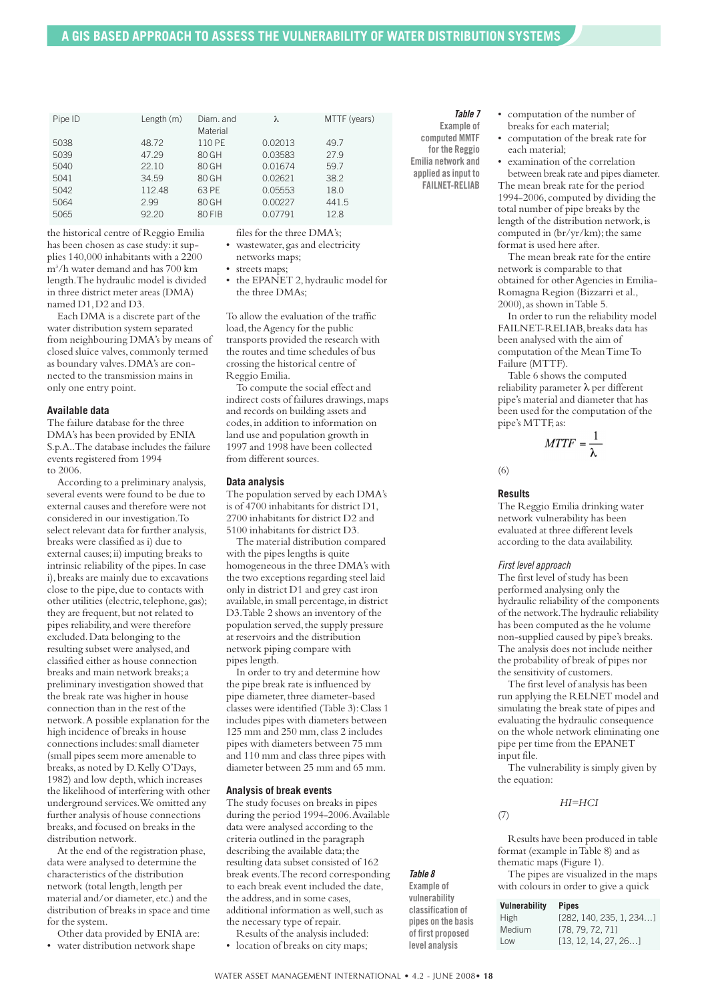| Pipe ID | Length $(m)$ | Diam, and<br>Material | λ       | MTTF (years) |
|---------|--------------|-----------------------|---------|--------------|
| 5038    | 48.72        | 110 PE                | 0.02013 | 49.7         |
| 5039    | 47.29        | 80 GH                 | 0.03583 | 27.9         |
| 5040    | 22.10        | 80 GH                 | 0.01674 | 59.7         |
| 5041    | 34.59        | 80 GH                 | 0.02621 | 38.2         |
| 5042    | 112.48       | 63 PE                 | 0.05553 | 18.0         |
| 5064    | 2.99         | 80 GH                 | 0.00227 | 441.5        |
| 5065    | 92.20        | 80 FIB                | 0.07791 | 12.8         |

the historical centre of Reggio Emilia has been chosen as case study: it supplies 140,000 inhabitants with a 2200 m3 /h water demand and has 700 km length.The hydraulic model is divided in three district meter areas (DMA) named D1,D2 and D3.

Each DMA is a discrete part of the water distribution system separated from neighbouring DMA's by means of closed sluice valves, commonly termed as boundary valves.DMA's are connected to the transmission mains in only one entry point.

#### **Available data**

The failure database for the three DMA's has been provided by ENIA S.p.A..The database includes the failure events registered from 1994 to 2006.

According to a preliminary analysis, several events were found to be due to external causes and therefore were not considered in our investigation.To select relevant data for further analysis, breaks were classified as i) due to external causes;ii) imputing breaks to intrinsic reliability of the pipes.In case i),breaks are mainly due to excavations close to the pipe,due to contacts with other utilities (electric, telephone, gas); they are frequent, but not related to pipes reliability,and were therefore excluded.Data belonging to the resulting subset were analysed, and classified either as house connection breaks and main network breaks;a preliminary investigation showed that the break rate was higher in house connection than in the rest of the network.A possible explanation for the high incidence of breaks in house connections includes:small diameter (small pipes seem more amenable to breaks, as noted by D. Kelly O'Days, 1982) and low depth,which increases the likelihood of interfering with other underground services.We omitted any further analysis of house connections breaks,and focused on breaks in the distribution network.

At the end of the registration phase, data were analysed to determine the characteristics of the distribution network (total length, length per material and/or diameter, etc.) and the distribution of breaks in space and time for the system.

Other data provided by ENIA are:

• water distribution network shape

files for the three DMA's;

- wastewater, gas and electricity
- networks maps; • streets maps;
- 
- the EPANET 2, hydraulic model for the three DMAs;

To allow the evaluation of the traffic load, the Agency for the public transports provided the research with the routes and time schedules of bus crossing the historical centre of Reggio Emilia.

To compute the social effect and indirect costs of failures drawings, maps and records on building assets and codes,in addition to information on land use and population growth in 1997 and 1998 have been collected from different sources.

#### **Data analysis**

The population served by each DMA's is of 4700 inhabitants for district D1, 2700 inhabitants for district D2 and 5100 inhabitants for district D3.

The material distribution compared with the pipes lengths is quite homogeneous in the three DMA's with the two exceptions regarding steel laid only in district D1 and grey cast iron available, in small percentage, in district D3.Table 2 shows an inventory of the population served, the supply pressure at reservoirs and the distribution network piping compare with pipes length.

In order to try and determine how the pipe break rate is influenced by pipe diameter, three diameter-based classes were identified (Table 3):Class 1 includes pipes with diameters between 125 mm and 250 mm, class 2 includes pipes with diameters between 75 mm and 110 mm and class three pipes with diameter between 25 mm and 65 mm.

#### **Analysis of break events**

The study focuses on breaks in pipes during the period 1994-2006.Available data were analysed according to the criteria outlined in the paragraph describing the available data; the resulting data subset consisted of 162 break events.The record corresponding to each break event included the date, the address, and in some cases. additional information as well,such as the necessary type of repair.

Results of the analysis included: • location of breaks on city maps; *Table 7*

**Example of computed MMTF for the Reggio Emilia network and applied asinput to FAILNET-RELIAB**

• computation of the number of breaks for each material;

• computation of the break rate for each material;

• examination of the correlation between break rate and pipes diameter.

The mean break rate for the period 1994-2006, computed by dividing the total number of pipe breaks by the length of the distribution network, is computed in (br/yr/km); the same format is used here after.

The mean break rate for the entire network is comparable to that obtained for other Agencies in Emilia-Romagna Region (Bizzarri et al., 2000), as shown in Table 5.

In order to run the reliability model FAILNET-RELIAB,breaks data has been analysed with the aim of computation of the MeanTimeTo Failure (MTTF).

Table 6 shows the computed reliability parameter λ per different pipe's material and diameter that has been used for the computation of the pipe's MTTF,as:

 $MTTF = \frac{1}{\lambda}$ 

(6)

#### **Results**

The Reggio Emilia drinking water network vulnerability has been evaluated at three different levels according to the data availability.

#### *First level approach*

The first level of study has been performed analysing only the hydraulic reliability of the components of the network.The hydraulic reliability has been computed as the he volume non-supplied caused by pipe's breaks. The analysis does not include neither the probability of break of pipes nor the sensitivity of customers.

The first level of analysis has been run applying the RELNET model and simulating the break state of pipes and evaluating the hydraulic consequence on the whole network eliminating one pipe per time from the EPANET input file.

The vulnerability is simply given by the equation:

#### *HI=HCI*

(7)

Results have been produced in table format (example inTable 8) and as thematic maps (Figure 1).

The pipes are visualized in the maps with colours in order to give a quick

| Vulnerability | <b>Pipes</b>            |
|---------------|-------------------------|
| <b>High</b>   | [282, 140, 235, 1, 234] |
| Medium        | [78, 79, 72, 71]        |
| Low           | [13, 12, 14, 27, 26]    |

*Table 8* **Example of vulnerability classification of pipes on the basis of first proposed level analysis**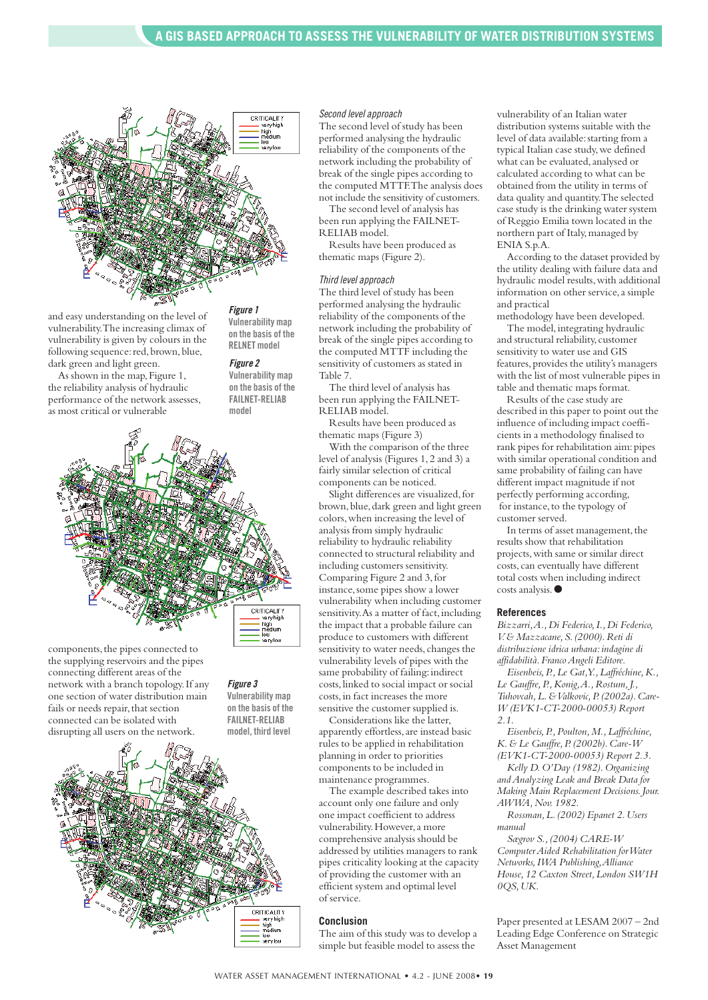

and easy understanding on the level of vulnerability.The increasing climax of vulnerability is given by colours in the following sequence: red, brown, blue, dark green and light green.

As shown in the map,Figure 1, the reliability analysis of hydraulic performance of the network assesses, as most critical or vulnerable

*Figure 1* **Vulnerability map on the basis of the RELNET model**

#### *Figure 2*

**Vulnerability map on the basis of the FAILNET-RELIAB model**



components, the pipes connected to the supplying reservoirs and the pipes connecting different areas of the network with a branch topology.If any one section of water distribution main fails or needs repair, that section connected can be isolated with disrupting all users on the network.

*Figure 3* **Vulnerability map on the basis of the**

**FAILNET-RELIAB**



#### *Second level approach*

The second level of study has been performed analysing the hydraulic reliability of the components of the network including the probability of break of the single pipes according to the computed MTTF.The analysis does not include the sensitivity of customers.

The second level of analysis has been run applying the FAILNET-RELIAB model.

Results have been produced as thematic maps (Figure 2).

#### *Third level approach*

The third level of study has been performed analysing the hydraulic reliability of the components of the network including the probability of break of the single pipes according to the computed MTTF including the sensitivity of customers as stated in Table 7.

The third level of analysis has been run applying the FAILNET-RELIAB model.

Results have been produced as thematic maps (Figure 3)

With the comparison of the three level of analysis (Figures 1,2 and 3) a fairly similar selection of critical components can be noticed.

Slight differences are visualized, for brown, blue, dark green and light green colors,when increasing the level of analysis from simply hydraulic reliability to hydraulic reliability connected to structural reliability and including customers sensitivity. Comparing Figure 2 and 3,for instance, some pipes show a lower vulnerability when including customer sensitivity. As a matter of fact, including the impact that a probable failure can produce to customers with different sensitivity to water needs, changes the vulnerability levels of pipes with the same probability of failing: indirect costs,linked to social impact or social costs,in fact increases the more

sensitive the customer supplied is. Considerations like the latter, apparently effortless, are instead basic rules to be applied in rehabilitation planning in order to priorities components to be included in maintenance programmes.

The example described takes into account only one failure and only one impact coefficient to address vulnerability.However,a more comprehensive analysis should be addressed by utilities managers to rank pipes criticality looking at the capacity of providing the customer with an efficient system and optimal level of service.

#### **Conclusion**

The aim of this study was to develop a simple but feasible model to assess the

vulnerability of an Italian water distribution systems suitable with the level of data available:starting from a typical Italian case study, we defined what can be evaluated, analysed or calculated according to what can be obtained from the utility in terms of data quality and quantity.The selected case study is the drinking water system of Reggio Emilia town located in the northern part of Italy,managed by ENIA S.p.A.

According to the dataset provided by the utility dealing with failure data and hydraulic model results, with additional information on other service, a simple and practical

methodology have been developed. The model, integrating hydraulic and structural reliability, customer sensitivity to water use and GIS features,provides the utility's managers with the list of most vulnerable pipes in table and thematic maps format.

Results of the case study are described in this paper to point out the influence of including impact coefficients in a methodology finalised to rank pipes for rehabilitation aim: pipes with similar operational condition and same probability of failing can have different impact magnitude if not perfectly performing according, for instance, to the typology of customer served.

In terms of asset management, the results show that rehabilitation projects,with same or similar direct costs, can eventually have different total costs when including indirect costs analysis.**●**

#### **References**

*Bizzarri,A.,Di Federico,I.,Di Federico, V.& Mazzacane,S.(2000).Reti di distribuzione idrica urbana:indagine di affidabilità.FrancoAngeli Editore.*

*Eisenbeis,P.,Le Gat,Y.,Laffréchine,K., Le Gauffre,P.,Konig,A.,Rostum,J., Tuhovcah,L.&Valkovic,P.(2002a).Care-W (EVK1-CT-2000-00053) Report 2.1.*

*Eisenbeis,P.,Poulton,M.,Laffréchine, K.& Le Gauffre,P.(2002b).Care-W (EVK1-CT-2000-00053) Report 2.3. Kelly D.O'Day (1982).Organizing*

*andAnalyzing Leak and Break Data for Making Main Replacement Decisions.Jour. AWWA, Nov.* 1982.

*Rossman,L.(2002) Epanet 2.Users manual*

*Sægrov S.,(2004) CARE-W ComputerAided Rehabilitation forWater Networks,IWA Publishing,Alliance House,12 Caxton Street,London SW1H 0QS,UK.*